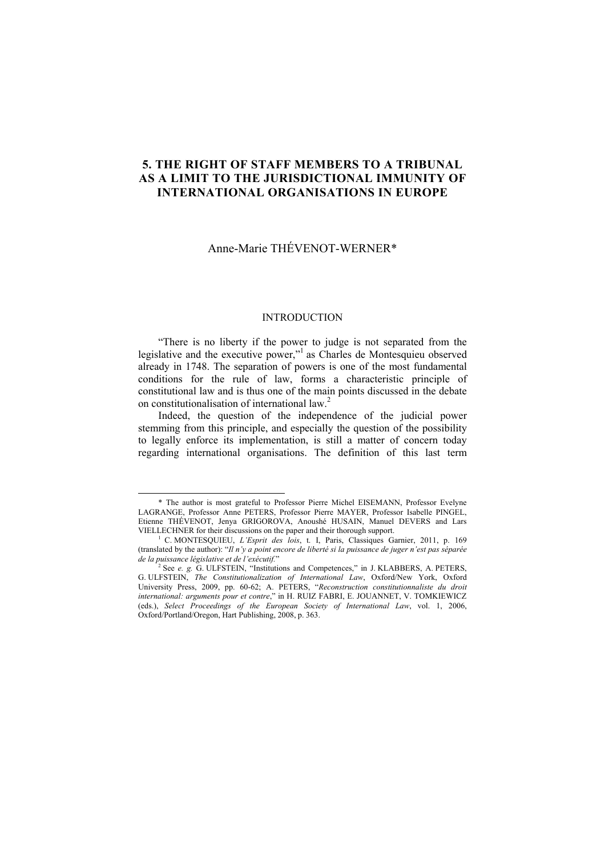# **5. THE RIGHT OF STAFF MEMBERS TO A TRIBUNAL AS A LIMIT TO THE JURISDICTIONAL IMMUNITY OF INTERNATIONAL ORGANISATIONS IN EUROPE**

# Anne-Marie THÉVENOT-WERNER\*

# **INTRODUCTION**

"There is no liberty if the power to judge is not separated from the legislative and the executive power,"<sup>1</sup> as Charles de Montesquieu observed already in 1748. The separation of powers is one of the most fundamental conditions for the rule of law, forms a characteristic principle of constitutional law and is thus one of the main points discussed in the debate on constitutionalisation of international law.2

Indeed, the question of the independence of the judicial power stemming from this principle, and especially the question of the possibility to legally enforce its implementation, is still a matter of concern today regarding international organisations. The definition of this last term

 <sup>\*</sup> The author is most grateful to Professor Pierre Michel EISEMANN, Professor Evelyne LAGRANGE, Professor Anne PETERS, Professor Pierre MAYER, Professor Isabelle PINGEL, Etienne THÉVENOT, Jenya GRIGOROVA, Anoushé HUSAIN, Manuel DEVERS and Lars VIELLECHNER for their discussions on the paper and their thorough support.

<sup>&</sup>lt;sup>1</sup> C. MONTESQUIEU, *L'Esprit des lois*, t. I, Paris, Classiques Garnier, 2011, p. 169 (translated by the author): "*Il n'y a point encore de liberté si la puissance de juger n'est pas séparée de la puissance législative et de l'exécutif.*" 2

See *e. g.* G. ULFSTEIN, "Institutions and Competences," in J. KLABBERS, A. PETERS, G. ULFSTEIN, *The Constitutionalization of International Law*, Oxford/New York, Oxford University Press, 2009, pp. 60-62; A. PETERS, "*Reconstruction constitutionnaliste du droit University Press*, 2009, pp. 60-62; A. PETERS, "*Reconstruction constitutionnaliste du droit international: arguments pour et contre*," in H. RUIZ FABRI, E. JOUANNET, V. TOMKIEWICZ (eds.), *Select Proceedings of the European Society of International Law*, vol. 1, 2006, Oxford/Portland/Oregon, Hart Publishing, 2008, p. 363.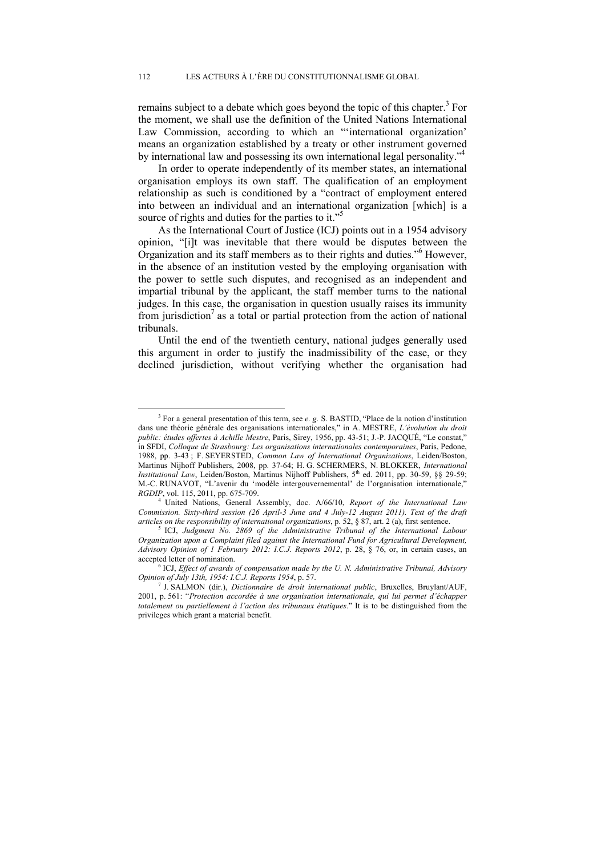remains subject to a debate which goes beyond the topic of this chapter.<sup>3</sup> For the moment, we shall use the definition of the United Nations International Law Commission, according to which an "'international organization' means an organization established by a treaty or other instrument governed by international law and possessing its own international legal personality."<sup>4</sup>

In order to operate independently of its member states, an international organisation employs its own staff. The qualification of an employment relationship as such is conditioned by a "contract of employment entered into between an individual and an international organization [which] is a source of rights and duties for the parties to it."<sup>5</sup>

As the International Court of Justice (ICJ) points out in a 1954 advisory opinion, "[i]t was inevitable that there would be disputes between the Organization and its staff members as to their rights and duties."6 However, in the absence of an institution vested by the employing organisation with the power to settle such disputes, and recognised as an independent and impartial tribunal by the applicant, the staff member turns to the national judges. In this case, the organisation in question usually raises its immunity from jurisdiction<sup>7</sup> as a total or partial protection from the action of national tribunals.

Until the end of the twentieth century, national judges generally used this argument in order to justify the inadmissibility of the case, or they declined jurisdiction, without verifying whether the organisation had

 $\overline{\phantom{a}}$  For a general presentation of this term, see *e. g.* S. BASTID, "Place de la notion d'institution dans une théorie générale des organisations internationales," in A. MESTRE, *L'évolution du droit public: études offertes à Achille Mestre*, Paris, Sirey, 1956, pp. 43-51; J.-P. JACQUÉ, "Le constat," in SFDI, *Colloque de Strasbourg: Les organisations internationales contemporaines*, Paris, Pedone, 1988, pp. 3-43 ; F. SEYERSTED, *Common Law of International Organizations*, Leiden/Boston, Martinus Nijhoff Publishers, 2008, pp. 37-64; H. G. SCHERMERS, N. BLOKKER, *International Institutional Law*, Leiden/Boston, Martinus Nijhoff Publishers, 5<sup>th</sup> ed. 2011, pp. 30-59, §§ 29-59; M.-C. RUNAVOT, "L'avenir du 'modèle intergouvernemental' de l'organisation internationale,"

*RGDIP*, vol. 115, 2011, pp. 675-709. 4 United Nations, General Assembly, doc. A/66/10, *Report of the International Law Commission. Sixty-third session (26 April-3 June and 4 July-12 August 2011). Text of the draft articles on the responsibility of international organizations*, p. 52, § 87, art. 2 (a), first sentence. 5 ICJ, *Judgment No. 2869 of the Administrative Tribunal of the International Labour* 

*Organization upon a Complaint filed against the International Fund for Agricultural Development, Advisory Opinion of 1 February 2012: I.C.J. Reports 2012*, p. 28, § 76, or, in certain cases, an accepted letter of nomination.

<sup>&</sup>lt;sup>6</sup> ICJ, *Effect of awards of compensation made by the U. N. Administrative Tribunal, Advisory Opinion of July 13th, 1954: I.C.J. Reports 1954, p. 57.* 

J. SALMON (dir.), *Dictionnaire de droit international public*, Bruxelles, Bruylant/AUF, 2001, p. 561: "*Protection accordée à une organisation internationale, qui lui permet d'échapper totalement ou partiellement à l'action des tribunaux étatiques*." It is to be distinguished from the privileges which grant a material benefit.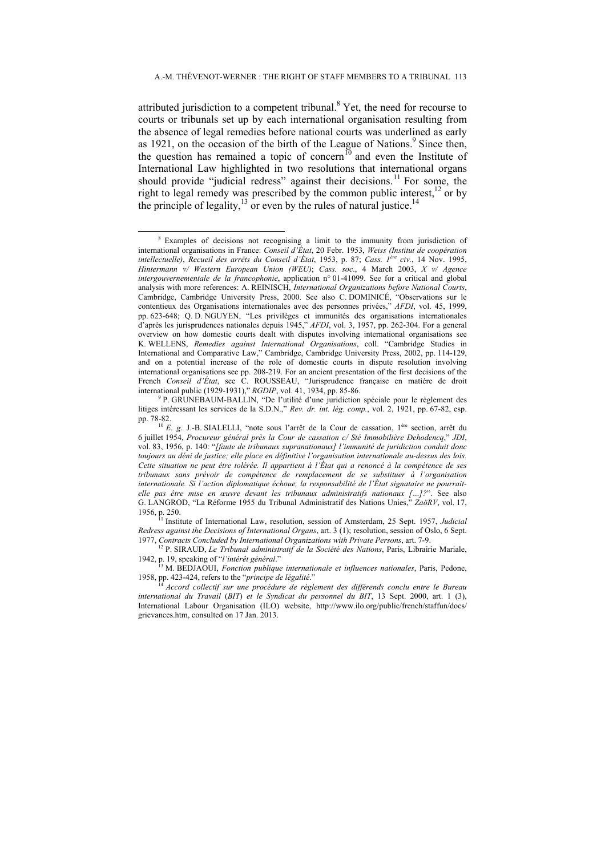attributed jurisdiction to a competent tribunal.<sup>8</sup> Yet, the need for recourse to courts or tribunals set up by each international organisation resulting from the absence of legal remedies before national courts was underlined as early as 1921, on the occasion of the birth of the League of Nations.<sup>9</sup> Since then, the question has remained a topic of concern<sup>10</sup> and even the Institute of International Law highlighted in two resolutions that international organs should provide "judicial redress" against their decisions.<sup>11</sup> For some, the right to legal remedy was prescribed by the common public interest, $12$  or by the principle of legality, $13$  or even by the rules of natural justice.<sup>14</sup>

 <sup>8</sup> Examples of decisions not recognising a limit to the immunity from jurisdiction of international organisations in France: *Conseil d'État*, 20 Febr. 1953, *Weiss (Institut de coopération intellectuelle)*, *Recueil des arrêts du Conseil d'État*, 1953, p. 87; *Cass. 1ère civ.*, 14 Nov. 1995, *Hintermann v/ Western European Union (WEU)*; *Cass. soc*., 4 March 2003, *X v/ Agence intergouvernementale de la francophonie*, application n° 01-41099. See for a critical and global analysis with more references: A. REINISCH, *International Organizations before National Courts*, Cambridge, Cambridge University Press, 2000. See also C. DOMINICÉ, "Observations sur le contentieux des Organisations internationales avec des personnes privées," *AFDI*, vol. 45, 1999, pp. 623-648; Q. D. NGUYEN, "Les privilèges et immunités des organisations internationales d'après les jurisprudences nationales depuis 1945," *AFDI*, vol. 3, 1957, pp. 262-304. For a general overview on how domestic courts dealt with disputes involving international organisations see K. WELLENS, *Remedies against International Organisations*, coll. "Cambridge Studies in International and Comparative Law," Cambridge, Cambridge University Press, 2002, pp. 114-129, and on a potential increase of the role of domestic courts in dispute resolution involving international organisations see pp. 208-219. For an ancient presentation of the first decisions of the French *Conseil d'État*, see C. ROUSSEAU, "Jurisprudence française en matière de droit international public (1929-1931)," *RGDIP*, vol. 41, 1934, pp. 85-86. 9

<sup>&</sup>lt;sup>9</sup> P. GRUNEBAUM-BALLIN, "De l'utilité d'une juridiction spéciale pour le règlement des litiges intéressant les services de la S.D.N.," *Rev. dr. int. lég. comp.*, vol. 2, 1921, pp. 67-82, esp.

pp. 78-82. 10 *E. g*. J.-B. SIALELLI, "note sous l'arrêt de la Cour de cassation, 1ère section, arrêt du 6 juillet 1954, *Procureur général près la Cour de cassation c/ Sté Immobilière Dehodencq*," *JDI*, vol. 83, 1956, p. 140: "*[faute de tribunaux supranationaux] l'immunité de juridiction conduit donc toujours au déni de justice; elle place en définitive l'organisation internationale au-dessus des lois. Cette situation ne peut être tolérée. Il appartient à l'État qui a renoncé à la compétence de ses tribunaux sans prévoir de compétence de remplacement de se substituer à l'organisation internationale. Si l'action diplomatique échoue, la responsabilité de l'État signataire ne pourraitelle pas être mise en œuvre devant les tribunaux administratifs nationaux […]?*". See also G. LANGROD, "La Réforme 1955 du Tribunal Administratif des Nations Unies," *ZaöRV*, vol. 17,

<sup>1956,</sup> p. 250. 11 Institute of International Law, resolution, session of Amsterdam, 25 Sept. 1957, *Judicial Redress against the Decisions of International Organs*, art. 3 (1); resolution, session of Oslo, 6 Sept.

<sup>&</sup>lt;sup>12</sup> P. SIRAUD, *Le Tribunal administratif de la Société des Nations*, Paris, Librairie Mariale,

<sup>1942,</sup> p. 19, speaking of "*l'intérêt général."*<br><sup>13</sup> M. BEDJAOUI, *Fonction publique internationale et influences nationales*, Paris, Pedone,<br>1958, pp. 423-424, refers to the "*principe de légalité."* 

<sup>1958,</sup> pp. 423-424, refers to the "*principe de légalité*." 14 *Accord collectif sur une procédure de règlement des différends conclu entre le Bureau international du Travail* (*BIT*) *et le Syndicat du personnel du BIT*, 13 Sept. 2000, art. 1 (3), International Labour Organisation (ILO) website, http://www.ilo.org/public/french/staffun/docs/ grievances.htm, consulted on 17 Jan. 2013.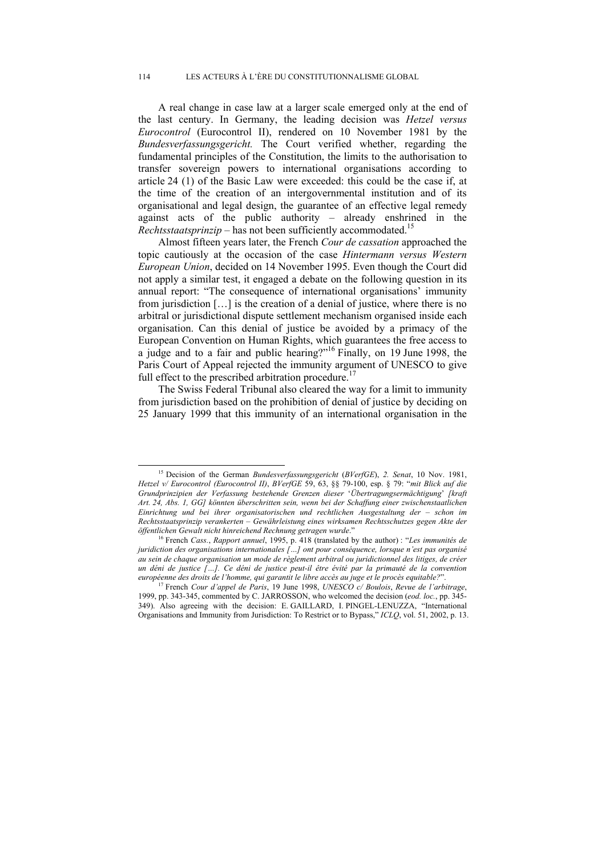A real change in case law at a larger scale emerged only at the end of the last century. In Germany, the leading decision was *Hetzel versus Eurocontrol* (Eurocontrol II), rendered on 10 November 1981 by the *Bundesverfassungsgericht.* The Court verified whether, regarding the fundamental principles of the Constitution, the limits to the authorisation to transfer sovereign powers to international organisations according to article 24 (1) of the Basic Law were exceeded: this could be the case if, at the time of the creation of an intergovernmental institution and of its organisational and legal design, the guarantee of an effective legal remedy against acts of the public authority – already enshrined in the *Rechtsstaatsprinzip* – has not been sufficiently accommodated.<sup>15</sup>

Almost fifteen years later, the French *Cour de cassation* approached the topic cautiously at the occasion of the case *Hintermann versus Western European Union*, decided on 14 November 1995. Even though the Court did not apply a similar test, it engaged a debate on the following question in its annual report: "The consequence of international organisations' immunity from jurisdiction […] is the creation of a denial of justice, where there is no arbitral or jurisdictional dispute settlement mechanism organised inside each organisation. Can this denial of justice be avoided by a primacy of the European Convention on Human Rights, which guarantees the free access to a judge and to a fair and public hearing?"16 Finally, on 19 June 1998, the Paris Court of Appeal rejected the immunity argument of UNESCO to give full effect to the prescribed arbitration procedure.<sup>1</sup>

The Swiss Federal Tribunal also cleared the way for a limit to immunity from jurisdiction based on the prohibition of denial of justice by deciding on 25 January 1999 that this immunity of an international organisation in the

 <sup>15</sup> Decision of the German *Bundesverfassungsgericht* (*BVerfGE*), *2. Senat*, 10 Nov. 1981, *Hetzel v/ Eurocontrol (Eurocontrol II)*, *BVerfGE* 59, 63, §§ 79-100, esp. § 79: "*mit Blick auf die Grundprinzipien der Verfassung bestehende Grenzen dieser* '*Übertragungsermächtigung*' *[kraft Art. 24, Abs. 1, GG] könnten überschritten sein, wenn bei der Schaffung einer zwischenstaatlichen Einrichtung und bei ihrer organisatorischen und rechtlichen Ausgestaltung der – schon im Rechtsstaatsprinzip verankerten – Gewährleistung eines wirksamen Rechtsschutzes gegen Akte der öffentlichen Gewalt nicht hinreichend Rechnung getragen wurde*." 16 French *Cass.*, *Rapport annuel*, 1995, p. 418 (translated by the author) : "*Les immunités de* 

*juridiction des organisations internationales […] ont pour conséquence, lorsque n'est pas organisé au sein de chaque organisation un mode de règlement arbitral ou juridictionnel des litiges, de créer un déni de justice […]. Ce déni de justice peut-il être évité par la primauté de la convention* 

*européenne des droits de l'homme, qui garantit le libre accès au juge et le procès equitable?*". 17 French *Cour d'appel de Paris*, 19 June 1998, *UNESCO c/ Boulois*, *Revue de l'arbitrage*, 1999, pp. 343-345, commented by C. JARROSSON, who welcomed the decision (*eod. loc.*, pp. 345- 349). Also agreeing with the decision: E. GAILLARD, I. PINGEL-LENUZZA, "International Organisations and Immunity from Jurisdiction: To Restrict or to Bypass," *ICLQ*, vol. 51, 2002, p. 13.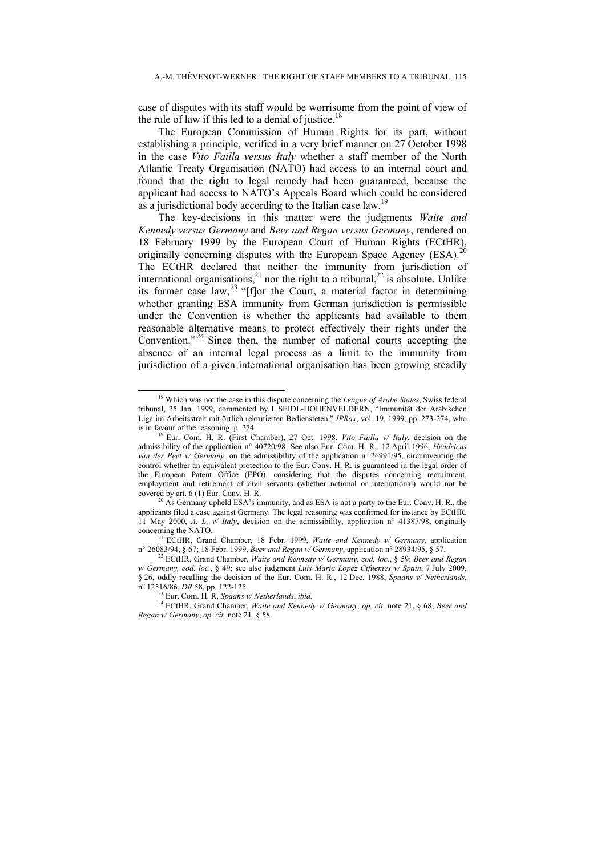case of disputes with its staff would be worrisome from the point of view of the rule of law if this led to a denial of justice.<sup>18</sup>

The European Commission of Human Rights for its part, without establishing a principle, verified in a very brief manner on 27 October 1998 in the case *Vito Failla versus Italy* whether a staff member of the North Atlantic Treaty Organisation (NATO) had access to an internal court and found that the right to legal remedy had been guaranteed, because the applicant had access to NATO's Appeals Board which could be considered as a jurisdictional body according to the Italian case law.<sup>19</sup>

The key-decisions in this matter were the judgments *Waite and Kennedy versus Germany* and *Beer and Regan versus Germany*, rendered on 18 February 1999 by the European Court of Human Rights (ECtHR), originally concerning disputes with the European Space Agency (ESA).<sup>20</sup> The ECtHR declared that neither the immunity from jurisdiction of international organisations,<sup>21</sup> nor the right to a tribunal,<sup>22</sup> is absolute. Unlike its former case law,  $^{23}$  "[f]or the Court, a material factor in determining whether granting ESA immunity from German jurisdiction is permissible under the Convention is whether the applicants had available to them reasonable alternative means to protect effectively their rights under the Convention."<sup>24</sup> Since then, the number of national courts accepting the absence of an internal legal process as a limit to the immunity from jurisdiction of a given international organisation has been growing steadily

<sup>23</sup> Eur. Com. H. R, *Spaans v/ Netherlands*, *ibid.* 

<sup>&</sup>lt;sup>18</sup> Which was not the case in this dispute concerning the *League of Arabe States*, Swiss federal tribunal, 25 Jan. 1999, commented by I. SEIDL-HOHENVELDERN, "Immunität der Arabischen Liga im Arbeitsstreit mit örtlich rekrutierten Bediensteten," *IPRax*, vol. 19, 1999, pp. 273-274, who is in favour of the reasoning, p. 274. 19 Eur. Com. H. R. (First Chamber), 27 Oct. 1998, *Vito Failla v/ Italy*, decision on the

admissibility of the application n° 40720/98. See also Eur. Com. H. R., 12 April 1996, *Hendricus van der Peet v/ Germany*, on the admissibility of the application n° 26991/95, circumventing the control whether an equivalent protection to the Eur. Conv. H. R. is guaranteed in the legal order of the European Patent Office (EPO), considering that the disputes concerning recruitment, employment and retirement of civil servants (whether national or international) would not be covered by art. 6 (1) Eur. Conv. H. R.<br><sup>20</sup> As Germany upheld ESA's immunity, and as ESA is not a party to the Eur. Conv. H. R., the

applicants filed a case against Germany. The legal reasoning was confirmed for instance by ECtHR, 11 May 2000, *A. L. v/ Italy*, decision on the admissibility, application n° 41387/98, originally concerning the NATO. 21 ECtHR, Grand Chamber, 18 Febr. 1999, *Waite and Kennedy v/ Germany*, application

n° 26083/94, § 67; 18 Febr. 1999, *Beer and Regan v/ Germany*, application n° 28934/95, § 57. 22 ECtHR, Grand Chamber, *Waite and Kennedy v/ Germany*, *eod. loc.*, § 59; *Beer and Regan* 

*v/ Germany, eod. loc.*, § 49; see also judgment *Luis Maria Lopez Cifuentes v/ Spain*, 7 July 2009, § 26, oddly recalling the decision of the Eur. Com. H. R., 12 Dec. 1988, *Spaans v/ Netherlands*, nº 12516/86, DR 58, pp. 122-125.

<sup>24</sup> ECtHR, Grand Chamber, *Waite and Kennedy v/ Germany*, *op. cit.* note 21, § 68; *Beer and Regan v/ Germany*, *op. cit.* note 21, § 58.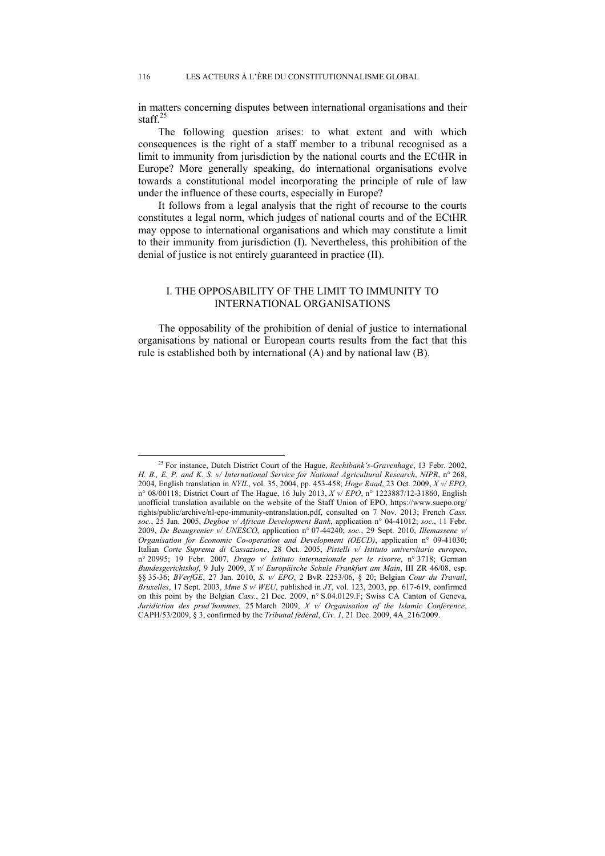in matters concerning disputes between international organisations and their staff $^{25}$ 

The following question arises: to what extent and with which consequences is the right of a staff member to a tribunal recognised as a limit to immunity from jurisdiction by the national courts and the ECtHR in Europe? More generally speaking, do international organisations evolve towards a constitutional model incorporating the principle of rule of law under the influence of these courts, especially in Europe?

It follows from a legal analysis that the right of recourse to the courts constitutes a legal norm, which judges of national courts and of the ECtHR may oppose to international organisations and which may constitute a limit to their immunity from jurisdiction (I). Nevertheless, this prohibition of the denial of justice is not entirely guaranteed in practice (II).

# I. THE OPPOSABILITY OF THE LIMIT TO IMMUNITY TO INTERNATIONAL ORGANISATIONS

The opposability of the prohibition of denial of justice to international organisations by national or European courts results from the fact that this rule is established both by international (A) and by national law (B).

 <sup>25</sup> For instance, Dutch District Court of the Hague, *Rechtbank's-Gravenhage*, 13 Febr. 2002, *H. B., E. P. and K. S. v/ International Service for National Agricultural Research*, *NIPR*, n° 268, 2004, English translation in *NYIL*, vol. 35, 2004, pp. 453-458; *Hoge Raad*, 23 Oct. 2009, *X v/ EPO*, n° 08/00118; District Court of The Hague, 16 July 2013, *X v/ EPO*, n° 1223887/12-31860, English unofficial translation available on the website of the Staff Union of EPO, https://www.suepo.org/ rights/public/archive/nl-epo-immunity-entranslation.pdf, consulted on 7 Nov. 2013; French *Cass. soc.*, 25 Jan. 2005, *Degboe v/ African Development Bank*, application n° 04-41012; *soc.*, 11 Febr. 2009, *De Beaugrenier v/ UNESCO*, application n° 07-44240; *soc.*, 29 Sept. 2010, *Illemassene v/ Organisation for Economic Co-operation and Development (OECD)*, application n° 09-41030; Italian *Corte Suprema di Cassazione*, 28 Oct. 2005, *Pistelli v/ Istituto universitario europeo*, n° 20995; 19 Febr. 2007, *Drago v/ Istituto internazionale per le risorse*, n° 3718; German *Bundesgerichtshof*, 9 July 2009, *X v/ Europäische Schule Frankfurt am Main*, III ZR 46/08, esp. §§ 35-36; *BVerfGE*, 27 Jan. 2010, *S. v/ EPO*, 2 BvR 2253/06, § 20; Belgian *Cour du Travail*, *Bruxelles*, 17 Sept. 2003, *Mme S v/ WEU*, published in *JT*, vol. 123, 2003, pp. 617-619, confirmed on this point by the Belgian *Cass.*, 21 Dec. 2009, n° S.04.0129.F; Swiss CA Canton of Geneva, *Juridiction des prud'hommes*, 25 March 2009, *X v/ Organisation of the Islamic Conference*, CAPH/53/2009, § 3, confirmed by the *Tribunal fédéral*, *Civ. 1*, 21 Dec. 2009, 4A\_216/2009.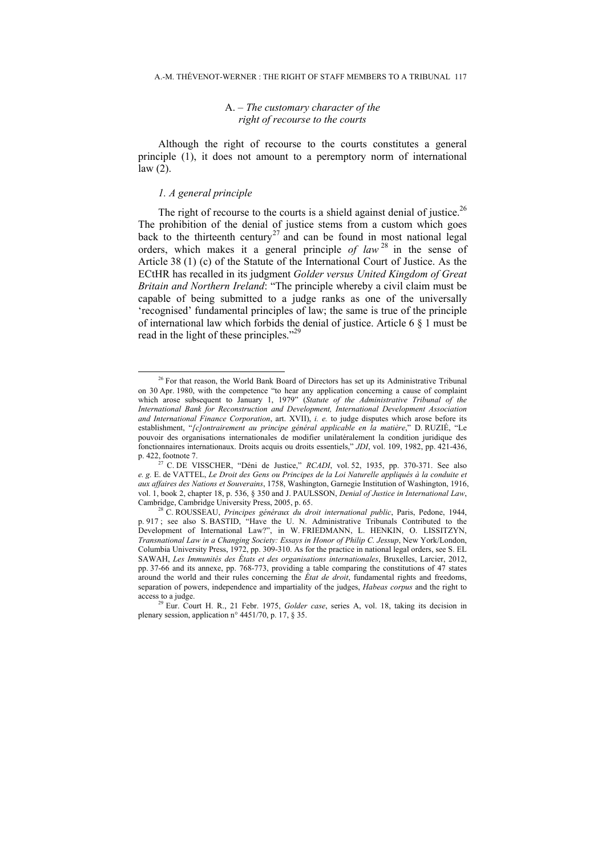#### A. *– The customary character of the right of recourse to the courts*

Although the right of recourse to the courts constitutes a general principle (1), it does not amount to a peremptory norm of international law (2).

### *1. A general principle*

The right of recourse to the courts is a shield against denial of justice.<sup>26</sup> The prohibition of the denial of justice stems from a custom which goes back to the thirteenth century<sup>27</sup> and can be found in most national legal orders, which makes it a general principle *of law* 28 in the sense of Article 38 (1) (c) of the Statute of the International Court of Justice. As the ECtHR has recalled in its judgment *Golder versus United Kingdom of Great Britain and Northern Ireland*: "The principle whereby a civil claim must be capable of being submitted to a judge ranks as one of the universally 'recognised' fundamental principles of law; the same is true of the principle of international law which forbids the denial of justice. Article 6 § 1 must be read in the light of these principles."<sup>29</sup>

<sup>&</sup>lt;sup>26</sup> For that reason, the World Bank Board of Directors has set up its Administrative Tribunal on 30 Apr. 1980, with the competence "to hear any application concerning a cause of complaint which arose subsequent to January 1, 1979" (*Statute of the Administrative Tribunal of the International Bank for Reconstruction and Development, International Development Association and International Finance Corporation*, art. XVII), *i. e.* to judge disputes which arose before its establishment, "*[c]ontrairement au principe général applicable en la matière*," D. RUZIÉ, "Le pouvoir des organisations internationales de modifier unilatéralement la condition juridique des fonctionnaires internationaux. Droits acquis ou droits essentiels," *JDI*, vol. 109, 1982, pp. 421-436, p. 422, footnote 7. 27 C. DE VISSCHER, "Déni de Justice," *RCADI*, vol. 52, 1935, pp. 370-371. See also

*e. g.* E. de VATTEL, *Le Droit des Gens ou Principes de la Loi Naturelle appliqués à la conduite et aux affaires des Nations et Souverains*, 1758, Washington, Garnegie Institution of Washington, 1916, vol. 1, book 2, chapter 18, p. 536, § 350 and J. PAULSSON, *Denial of Justice in International Law*,

Cambridge, Cambridge University Press, 2005, p. 65. 28 C. ROUSSEAU, *Principes généraux du droit international public*, Paris, Pedone, 1944, p. 917 ; see also S. BASTID, "Have the U. N. Administrative Tribunals Contributed to the Development of International Law?", in W. FRIEDMANN, L. HENKIN, O. LISSITZYN, *Transnational Law in a Changing Society: Essays in Honor of Philip C. Jessup*, New York/London, Columbia University Press, 1972, pp. 309-310. As for the practice in national legal orders, see S. EL SAWAH, *Les Immunités des États et des organisations internationales*, Bruxelles, Larcier, 2012, pp. 37-66 and its annexe, pp. 768-773, providing a table comparing the constitutions of 47 states around the world and their rules concerning the *État de droit*, fundamental rights and freedoms, separation of powers, independence and impartiality of the judges, *Habeas corpus* and the right to access to a judge. 29 Eur. Court H. R., 21 Febr. 1975, *Golder case*, series A, vol. 18, taking its decision in

plenary session, application n° 4451/70, p. 17, § 35.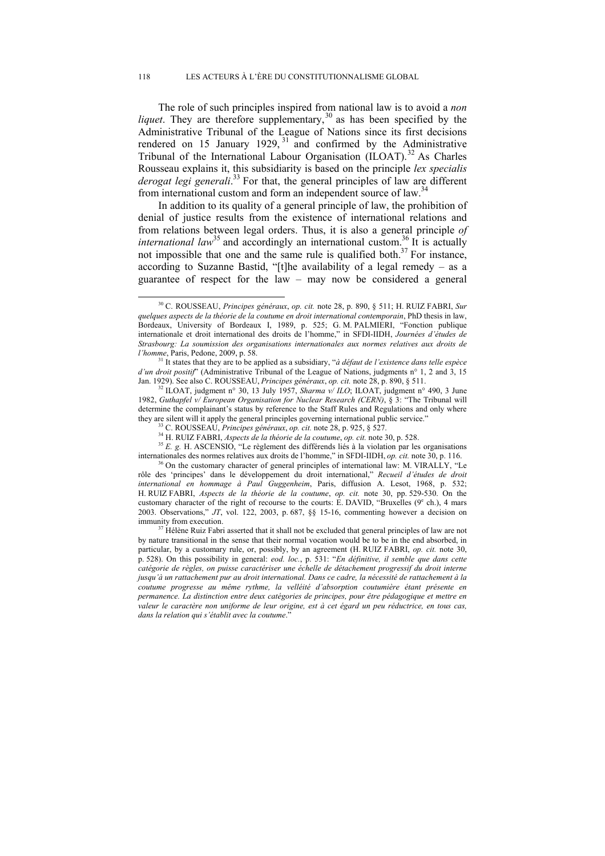The role of such principles inspired from national law is to avoid a *non liquet*. They are therefore supplementary,<sup>30</sup> as has been specified by the Administrative Tribunal of the League of Nations since its first decisions rendered on 15 January 1929,  $31$  and confirmed by the Administrative Tribunal of the International Labour Organisation  $(IIOAT)$ <sup>32</sup> As Charles Rousseau explains it, this subsidiarity is based on the principle *lex specialis derogat legi generali*. <sup>33</sup> For that, the general principles of law are different from international custom and form an independent source of law.<sup>3</sup>

In addition to its quality of a general principle of law, the prohibition of denial of justice results from the existence of international relations and from relations between legal orders. Thus, it is also a general principle *of international law*<sup>35</sup> and accordingly an international custom.<sup>36</sup> It is actually not impossible that one and the same rule is qualified both.<sup>37</sup> For instance, according to Suzanne Bastid, "[t]he availability of a legal remedy – as a guarantee of respect for the law – may now be considered a general

<sup>32</sup> ILOAT, judgment n° 30, 13 July 1957, *Sharma v/ ILO*; ILOAT, judgment n° 490, 3 June 1982, *Guthapfel v/ European Organisation for Nuclear Research (CERN)*, § 3: "The Tribunal will determine the complainant's status by reference to the Staff Rules and Regulations and only where

they are silent will it apply the general principles governing international public service."<br><sup>33</sup> C. ROUSSEAU, *Principes généraux*, *op. cit.* note 28, p. 925, § 527.<br><sup>34</sup> H. RUIZ FABRI, *Aspects de la théorie de la cou* internationales des normes relatives aux droits de l'homme," in SFDI-IIDH, *op. cit.* note 30, p. 116. <sup>36</sup> On the customary character of general principles of international law: M. VIRALLY, "Le

rôle des 'principes' dans le développement du droit international," *Recueil d'études de droit international en hommage à Paul Guggenheim*, Paris, diffusion A. Lesot, 1968, p. 532; H. RUIZ FABRI, *Aspects de la théorie de la coutume*, *op. cit.* note 30, pp. 529-530. On the customary character of the right of recourse to the courts: E. DAVID, "Bruxelles ( $9^{\circ}$  ch.), 4 mars 2003. Observations," *JT*, vol. 122, 2003, p. 687, §§ 15-16, commenting however a decision on immunity from execution. 37 Hélène Ruiz Fabri asserted that it shall not be excluded that general principles of law are not

by nature transitional in the sense that their normal vocation would be to be in the end absorbed, in particular, by a customary rule, or, possibly, by an agreement (H. RUIZ FABRI, *op. cit.* note 30, p. 528). On this possibility in general: *eod. loc.*, p. 531: "*En définitive, il semble que dans cette catégorie de règles, on puisse caractériser une échelle de détachement progressif du droit interne jusqu'à un rattachement pur au droit international. Dans ce cadre, la nécessité de rattachement à la coutume progresse au même rythme, la velléité d'absorption coutumière étant présente en permanence. La distinction entre deux catégories de principes, pour être pédagogique et mettre en valeur le caractère non uniforme de leur origine, est à cet égard un peu réductrice, en tous cas, dans la relation qui s'établit avec la coutume*."

 <sup>30</sup> C. ROUSSEAU, *Principes généraux*, *op. cit.* note 28, p. 890, § 511; H. RUIZ FABRI, *Sur quelques aspects de la théorie de la coutume en droit international contemporain*, PhD thesis in law, Bordeaux, University of Bordeaux I, 1989, p. 525; G. M. PALMIERI, "Fonction publique internationale et droit international des droits de l'homme," in SFDI-IIDH, *Journées d'études de Strasbourg: La soumission des organisations internationales aux normes relatives aux droits de l'homme*, Paris, Pedone, 2009, p. 58. 31 It states that they are to be applied as a subsidiary, "*à défaut de l'existence dans telle espèce* 

*d'un droit positif*" (Administrative Tribunal of the League of Nations, judgments n° 1, 2 and 3, 15 Jan. 1929). See also C. ROUSSEAU, *Principes généraux*, *op. cit.* note 28, p. 890, § 511.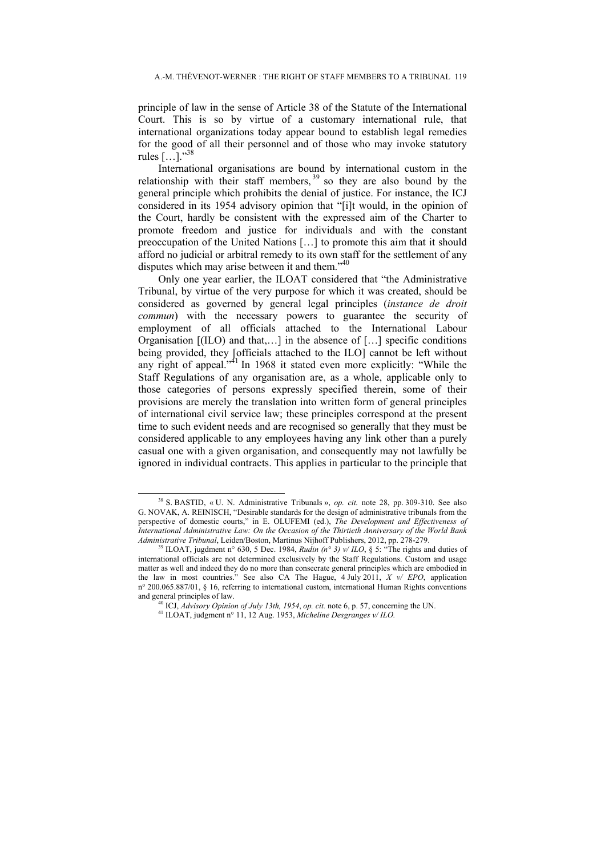principle of law in the sense of Article 38 of the Statute of the International Court. This is so by virtue of a customary international rule, that international organizations today appear bound to establish legal remedies for the good of all their personnel and of those who may invoke statutory rules  $[...]$ ."<sup>38</sup>

International organisations are bound by international custom in the relationship with their staff members,  $39$  so they are also bound by the general principle which prohibits the denial of justice. For instance, the ICJ considered in its 1954 advisory opinion that "[i]t would, in the opinion of the Court, hardly be consistent with the expressed aim of the Charter to promote freedom and justice for individuals and with the constant preoccupation of the United Nations […] to promote this aim that it should afford no judicial or arbitral remedy to its own staff for the settlement of any disputes which may arise between it and them."40

Only one year earlier, the ILOAT considered that "the Administrative Tribunal, by virtue of the very purpose for which it was created, should be considered as governed by general legal principles (*instance de droit commun*) with the necessary powers to guarantee the security of employment of all officials attached to the International Labour Organisation [(ILO) and that,…] in the absence of […] specific conditions being provided, they [officials attached to the ILO] cannot be left without any right of appeal."<sup>41</sup> In 1968 it stated even more explicitly: "While the Staff Regulations of any organisation are, as a whole, applicable only to those categories of persons expressly specified therein, some of their provisions are merely the translation into written form of general principles of international civil service law; these principles correspond at the present time to such evident needs and are recognised so generally that they must be considered applicable to any employees having any link other than a purely casual one with a given organisation, and consequently may not lawfully be ignored in individual contracts. This applies in particular to the principle that

 <sup>38</sup> S. BASTID, « U. N. Administrative Tribunals », *op. cit.* note 28, pp. 309-310. See also G. NOVAK, A. REINISCH, "Desirable standards for the design of administrative tribunals from the perspective of domestic courts," in E. OLUFEMI (ed.), *The Development and Effectiveness of International Administrative Law: On the Occasion of the Thirtieth Anniversary of the World Bank* 

<sup>&</sup>lt;sup>9</sup> ILOAT, jugdment n° 630, 5 Dec. 1984, *Rudin* (n° 3) v/ ILO, § 5: "The rights and duties of international officials are not determined exclusively by the Staff Regulations. Custom and usage matter as well and indeed they do no more than consecrate general principles which are embodied in the law in most countries." See also CA The Hague, 4 July 2011, *X v/ EPO*, application n° 200.065.887/01, § 16, referring to international custom, international Human Rights conventions and general principles of law.<br><sup>40</sup> ICJ, *Advisory Opinion of July 13th, 1954*, *op. cit.* note 6, p. 57, concerning the UN.<br><sup>41</sup> ILOAT, judgment n° 11, 12 Aug. 1953, *Micheline Desgranges v/ ILO*.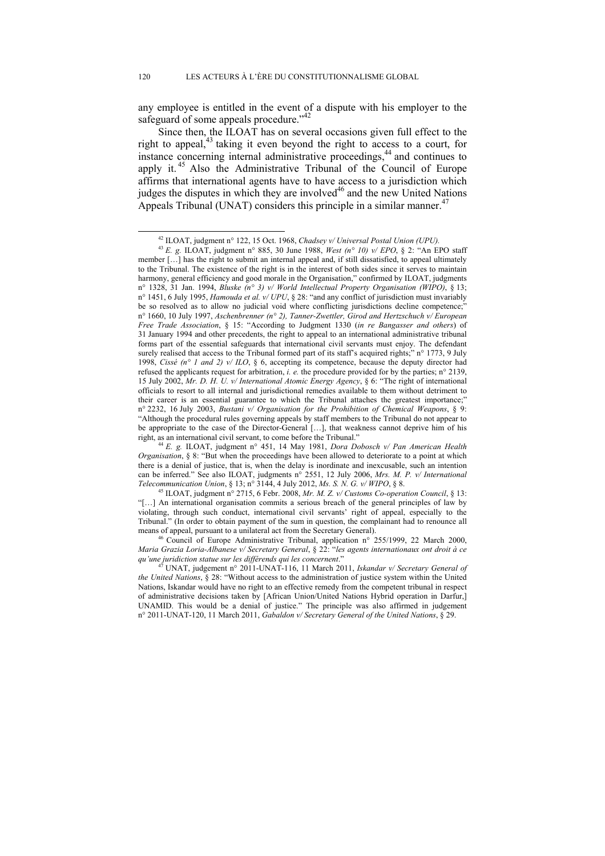any employee is entitled in the event of a dispute with his employer to the safeguard of some appeals procedure."<sup>42</sup>

Since then, the ILOAT has on several occasions given full effect to the right to appeal,<sup>43</sup> taking it even beyond the right to access to a court, for instance concerning internal administrative proceedings,<sup>44</sup> and continues to apply it.  $45$  Also the Administrative Tribunal of the Council of Europe affirms that international agents have to have access to a jurisdiction which judges the disputes in which they are involved<sup>46</sup> and the new United Nations Appeals Tribunal (UNAT) considers this principle in a similar manner.<sup>47</sup>

*Maria Grazia Loria-Albanese v/ Secretary General*, § 22: "*les agents internationaux ont droit à ce qu'une juridiction statue sur les différends qui les concernent*."

 <sup>42</sup> ILOAT, judgment n° 122, 15 Oct. 1968, *Chadsey v/ Universal Postal Union (UPU).*

<sup>43</sup> *E. g.* ILOAT, judgment n° 885, 30 June 1988, *West (n° 10) v/ EPO*, § 2: "An EPO staff member […] has the right to submit an internal appeal and, if still dissatisfied, to appeal ultimately to the Tribunal. The existence of the right is in the interest of both sides since it serves to maintain harmony, general efficiency and good morale in the Organisation," confirmed by ILOAT, judgments n° 1328, 31 Jan. 1994, *Bluske (n° 3) v/ World Intellectual Property Organisation (WIPO)*, § 13; n° 1451, 6 July 1995, *Hamouda et al. v/ UPU*, § 28: "and any conflict of jurisdiction must invariably be so resolved as to allow no judicial void where conflicting jurisdictions decline competence;" n° 1660, 10 July 1997, *Aschenbrenner (n° 2), Tanner-Zwettler, Girod and Hertzschuch v/ European Free Trade Association*, § 15: "According to Judgment 1330 (*in re Bangasser and others*) of 31 January 1994 and other precedents, the right to appeal to an international administrative tribunal forms part of the essential safeguards that international civil servants must enjoy. The defendant surely realised that access to the Tribunal formed part of its staff's acquired rights;" n° 1773, 9 July 1998, *Cissé (n° 1 and 2) v/ ILO*, § 6, accepting its competence, because the deputy director had refused the applicants request for arbitration, *i. e.* the procedure provided for by the parties; n° 2139, 15 July 2002, *Mr. D. H. U. v/ International Atomic Energy Agency*, § 6: "The right of international officials to resort to all internal and jurisdictional remedies available to them without detriment to their career is an essential guarantee to which the Tribunal attaches the greatest importance;" n° 2232, 16 July 2003, *Bustani v/ Organisation for the Prohibition of Chemical Weapons*, § 9: "Although the procedural rules governing appeals by staff members to the Tribunal do not appear to be appropriate to the case of the Director-General [...], that weakness cannot deprive him of his right, as an international civil servant, to come before the Tribunal."

<sup>&</sup>lt;sup>44</sup> E. g. ILOAT, judgment n° 451, 14 May 1981, *Dora Dobosch v/ Pan American Health Organisation*, § 8: "But when the proceedings have been allowed to deteriorate to a point at which there is a denial of justice, that is, when the delay is inordinate and inexcusable, such an intention can be inferred." See also ILOAT, judgments n° 2551, 12 July 2006, *Mrs. M. P. v/ International Telecommunication Union*, § 13; n° 3144, 4 July 2012, *Ms. S. N. G. v/ WIPO*, § 8.<br><sup>45</sup> ILOAT, judgment n° 2715, 6 Febr. 2008, *Mr. M. Z. v/ Customs Co-operation Council*, § 13:

<sup>&</sup>quot;[…] An international organisation commits a serious breach of the general principles of law by violating, through such conduct, international civil servants' right of appeal, especially to the Tribunal." (In order to obtain payment of the sum in question, the complainant had to renounce all means of appeal, pursuant to a unilateral act from the Secretary General). 46 Council of Europe Administrative Tribunal, application n° 255/1999, 22 March 2000,

<sup>47</sup> UNAT, judgement n° 2011-UNAT-116, 11 March 2011, *Iskandar v/ Secretary General of the United Nations*, § 28: "Without access to the administration of justice system within the United Nations, Iskandar would have no right to an effective remedy from the competent tribunal in respect of administrative decisions taken by [African Union/United Nations Hybrid operation in Darfur,] UNAMID. This would be a denial of justice." The principle was also affirmed in judgement n° 2011-UNAT-120, 11 March 2011, *Gabaldon v/ Secretary General of the United Nations*, § 29.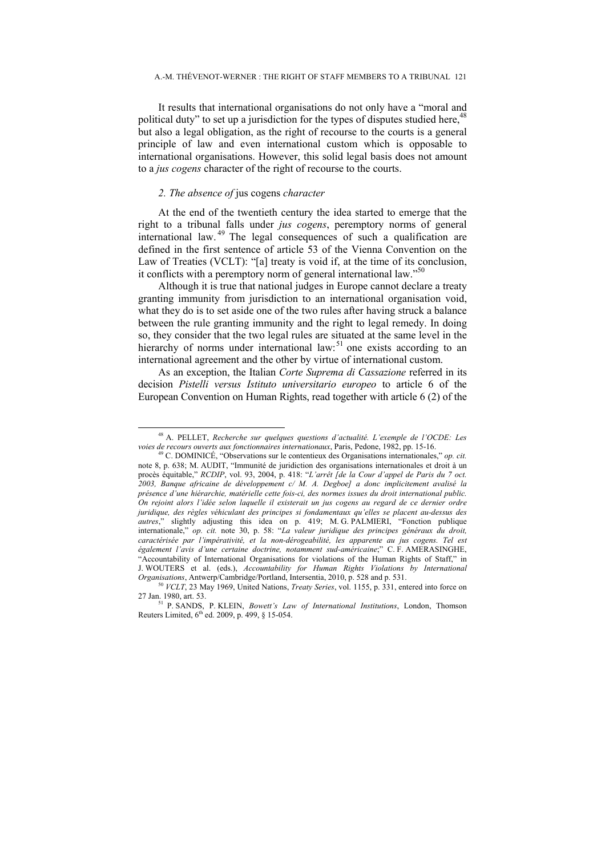It results that international organisations do not only have a "moral and political duty" to set up a jurisdiction for the types of disputes studied here,<sup>48</sup> but also a legal obligation, as the right of recourse to the courts is a general principle of law and even international custom which is opposable to international organisations. However, this solid legal basis does not amount to a *jus cogens* character of the right of recourse to the courts.

# *2. The absence of* jus cogens *character*

At the end of the twentieth century the idea started to emerge that the right to a tribunal falls under *jus cogens*, peremptory norms of general international law. <sup>49</sup> The legal consequences of such a qualification are defined in the first sentence of article 53 of the Vienna Convention on the Law of Treaties (VCLT): "[a] treaty is void if, at the time of its conclusion, it conflicts with a peremptory norm of general international law." $50$ 

Although it is true that national judges in Europe cannot declare a treaty granting immunity from jurisdiction to an international organisation void, what they do is to set aside one of the two rules after having struck a balance between the rule granting immunity and the right to legal remedy. In doing so, they consider that the two legal rules are situated at the same level in the hierarchy of norms under international law:<sup>51</sup> one exists according to an international agreement and the other by virtue of international custom.

As an exception, the Italian *Corte Suprema di Cassazione* referred in its decision *Pistelli versus Istituto universitario europeo* to article 6 of the European Convention on Human Rights, read together with article 6 (2) of the

 <sup>48</sup> A. PELLET, *Recherche sur quelques questions d'actualité. L'exemple de l'OCDE: Les voies de recours ouverts aux fonctionnaires internationaux*, Paris, Pedone, 1982, pp. 15-16. 49 C. DOMINICÉ, "Observations sur le contentieux des Organisations internationales," *op. cit.* 

note 8, p. 638; M. AUDIT, "Immunité de juridiction des organisations internationales et droit à un procès équitable," *RCDIP*, vol. 93, 2004, p. 418: "*L'arrêt [de la Cour d'appel de Paris du 7 oct. 2003, Banque africaine de développement c/ M. A. Degboe] a donc implicitement avalisé la présence d'une hiérarchie, matérielle cette fois-ci, des normes issues du droit international public. On rejoint alors l'idée selon laquelle il existerait un jus cogens au regard de ce dernier ordre juridique, des règles véhiculant des principes si fondamentaux qu'elles se placent au-dessus des autres*," slightly adjusting this idea on p. 419; M. G. PALMIERI, "Fonction publique internationale," *op. cit.* note 30, p. 58: "*La valeur juridique des principes généraux du droit, caractérisée par l'impérativité, et la non-dérogeabilité, les apparente au jus cogens. Tel est également l'avis d'une certaine doctrine, notamment sud-américaine*;" C. F. AMERASINGHE, "Accountability of International Organisations for violations of the Human Rights of Staff," in J. WOUTERS et al. (eds.), *Accountability for Human Rights Violations by International* 

*CORGANISATIONS*, Antwerp/Cambridge/Portland, Intersections, *Treaty Series*, vol. 1155, p. 331, entered into force on 27 Jan. 1980, art. 53. 51 P. SANDS, P. KLEIN, *Bowett's Law of International Institutions*, London, Thomson

Reuters Limited, 6<sup>th</sup> ed. 2009, p. 499, § 15-054.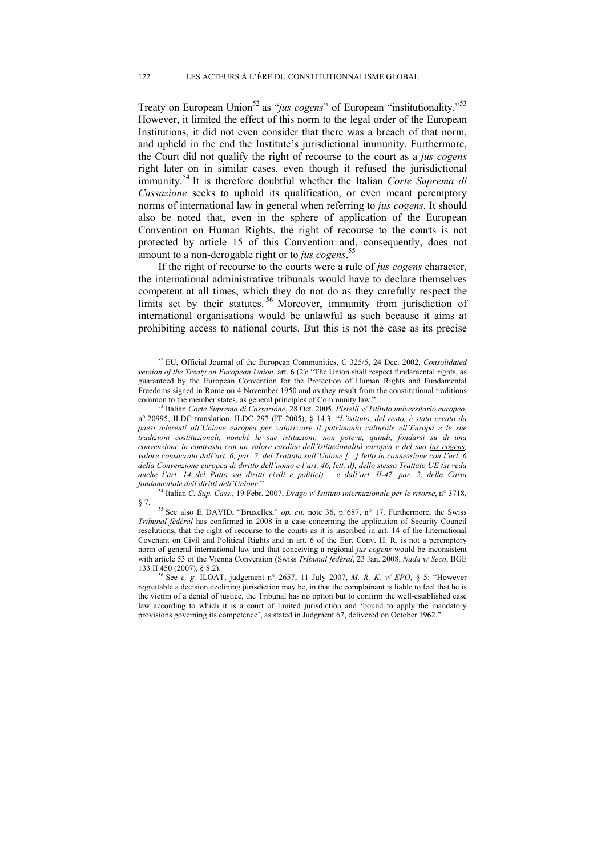Treaty on European Union<sup>52</sup> as "*jus cogens*" of European "institutionality."<sup>53</sup> However, it limited the effect of this norm to the legal order of the European Institutions, it did not even consider that there was a breach of that norm, and upheld in the end the Institute's jurisdictional immunity. Furthermore, the Court did not qualify the right of recourse to the court as a *jus cogens*  right later on in similar cases, even though it refused the jurisdictional immunity.54 It is therefore doubtful whether the Italian *Corte Suprema di Cassazione* seeks to uphold its qualification, or even meant peremptory norms of international law in general when referring to *jus cogens*. It should also be noted that, even in the sphere of application of the European Convention on Human Rights, the right of recourse to the courts is not protected by article 15 of this Convention and, consequently, does not amount to a non-derogable right or to *jus cogens*. 55

If the right of recourse to the courts were a rule of *jus cogens* character, the international administrative tribunals would have to declare themselves competent at all times, which they do not do as they carefully respect the limits set by their statutes.<sup>56</sup> Moreover, immunity from jurisdiction of international organisations would be unlawful as such because it aims at prohibiting access to national courts. But this is not the case as its precise

54 Italian *C. Sup. Cass.*, 19 Febr. 2007, *Drago v/ Istituto internazionale per le risorse*, n° 3718,

 <sup>52</sup> EU, Official Journal of the European Communities, C 325/5, 24 Dec. 2002, *Consolidated version of the Treaty on European Union*, art. 6 (2): "The Union shall respect fundamental rights, as guaranteed by the European Convention for the Protection of Human Rights and Fundamental Freedoms signed in Rome on 4 November 1950 and as they result from the constitutional traditions common to the member states, as general principles of Community law." 53 Italian *Corte Suprema di Cassazione*, 28 Oct. 2005, *Pistelli v/ Istituto universitario europeo*,

n° 20995, ILDC translation, ILDC 297 (IT 2005), § 14.3: "*L'istituto, del resto, è stato creato da paesi aderenti all'Unione europea per valorizzare il patrimonio culturale ell'Europa e le sue tradizioni costituzionali, nonché le sue istituzioni; non poteva, quindi, fondarsi su di una convenzione in contrasto con un valore cardine dell'istituzionalità europea e del suo ius cogens, valore consacrato dall'art. 6, par. 2, del Trattato sull'Unione […] letto in connessione con l'art. 6 della Convenzione europea di diritto dell'uomo e l'art. 46, lett. d), dello stesso Trattato UE (si veda anche l'art. 14 del Patto sui diritti civili e politici) – e dall'art. II-47, par. 2, della Carta fondamentale deil diritti dell'Unione*."

<sup>§ 7. 55</sup> See also E. DAVID, "Bruxelles," *op. cit.* note 36, p. 687, n° 17. Furthermore, the Swiss *Tribunal fédéral* has confirmed in 2008 in a case concerning the application of Security Council resolutions, that the right of recourse to the courts as it is inscribed in art. 14 of the International Covenant on Civil and Political Rights and in art. 6 of the Eur. Conv. H. R. is not a peremptory norm of general international law and that conceiving a regional *jus cogens* would be inconsistent with article 53 of the Vienna Convention (Swiss *Tribunal fédéral*, 23 Jan. 2008, *Nada v/ Seco*, BGE 133 II 450 (2007), § 8.2). 56 See *e. g.* ILOAT, judgement n° 2657, 11 July 2007, *M. R. K. v/ EPO*, § 5: "However

regrettable a decision declining jurisdiction may be, in that the complainant is liable to feel that he is the victim of a denial of justice, the Tribunal has no option but to confirm the well-established case law according to which it is a court of limited jurisdiction and 'bound to apply the mandatory provisions governing its competence', as stated in Judgment 67, delivered on October 1962."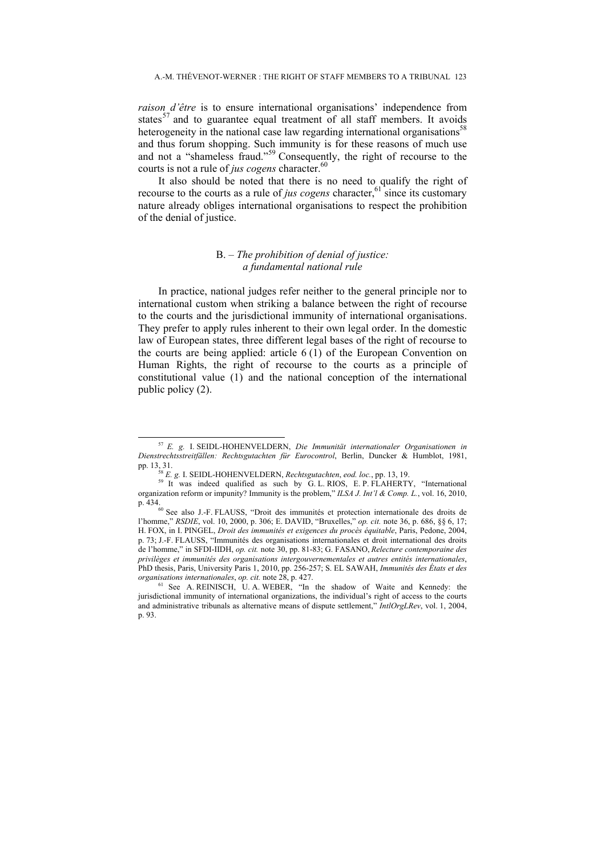*raison d'être* is to ensure international organisations' independence from states<sup>57</sup> and to guarantee equal treatment of all staff members. It avoids heterogeneity in the national case law regarding international organisations<sup>58</sup> and thus forum shopping. Such immunity is for these reasons of much use and not a "shameless fraud."59 Consequently, the right of recourse to the courts is not a rule of *jus cogens* character.<sup>60</sup>

It also should be noted that there is no need to qualify the right of recourse to the courts as a rule of *jus cogens* character, $61 \text{ since its customary}$ nature already obliges international organisations to respect the prohibition of the denial of justice.

# B. *– The prohibition of denial of justice: a fundamental national rule*

In practice, national judges refer neither to the general principle nor to international custom when striking a balance between the right of recourse to the courts and the jurisdictional immunity of international organisations. They prefer to apply rules inherent to their own legal order. In the domestic law of European states, three different legal bases of the right of recourse to the courts are being applied: article 6 (1) of the European Convention on Human Rights, the right of recourse to the courts as a principle of constitutional value (1) and the national conception of the international public policy (2).

 <sup>57</sup> *E. g.* I. SEIDL-HOHENVELDERN, *Die Immunität internationaler Organisationen in Dienstrechtsstreitfällen: Rechtsgutachten für Eurocontrol*, Berlin, Duncker & Humblot, 1981, pp. 13, 31.<br><sup>58</sup> *E. g.* I. SEIDL-HOHENVELDERN, *Rechtsgutachten*, *eod. loc.*, pp. 13, 19.<br><sup>59</sup> It was indeed qualified as such by G. L. RIOS, E. P. FLAHERTY, "International

organization reform or impunity? Immunity is the problem," *ILSA J. Int'l & Comp. L.*, vol. 16, 2010,

<sup>&</sup>lt;sup>60</sup> See also J.-F. FLAUSS, "Droit des immunités et protection internationale des droits de l'homme," *RSDIE*, vol. 10, 2000, p. 306; E. DAVID, "Bruxelles," *op. cit.* note 36, p. 686, §§ 6, 17; H. FOX, in I. PINGEL, *Droit des immunités et exigences du procès équitable*, Paris, Pedone, 2004, p. 73; J.-F. FLAUSS, "Immunités des organisations internationales et droit international des droits de l'homme," in SFDI-IIDH, *op. cit.* note 30, pp. 81-83; G. FASANO, *Relecture contemporaine des privilèges et immunités des organisations intergouvernementales et autres entités internationales*, PhD thesis, Paris, University Paris 1, 2010, pp. 256-257; S. EL SAWAH, *Immunités des États et des organisations internationales*, *op. cit.* note 28, p. 427. <sup>61</sup> See A. REINISCH, U. A. WEBER, "In the shadow of Waite and Kennedy: the

jurisdictional immunity of international organizations, the individual's right of access to the courts and administrative tribunals as alternative means of dispute settlement," *IntlOrgLRev*, vol. 1, 2004, p. 93.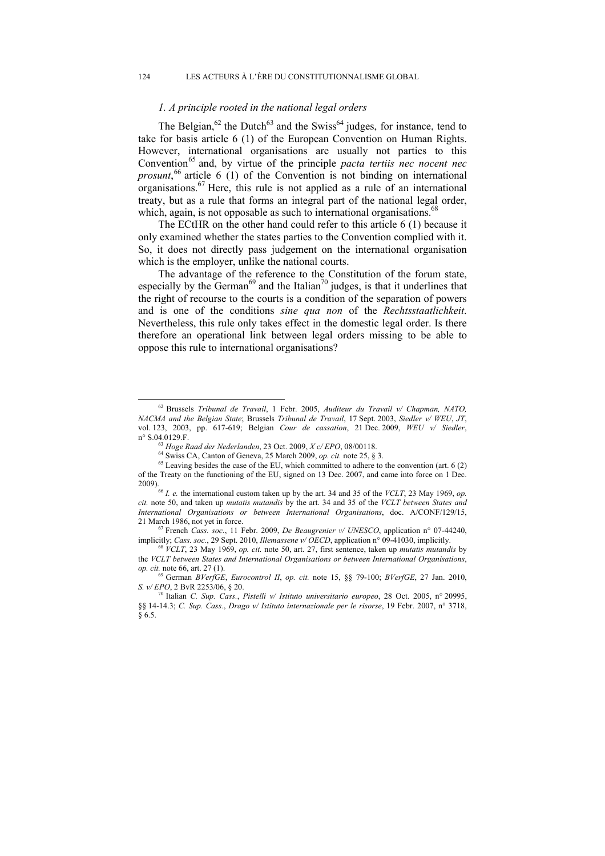### *1. A principle rooted in the national legal orders*

The Belgian,<sup>62</sup> the Dutch<sup>63</sup> and the Swiss<sup>64</sup> judges, for instance, tend to take for basis article 6 (1) of the European Convention on Human Rights. However, international organisations are usually not parties to this Convention<sup>65</sup> and, by virtue of the principle *pacta tertiis nec nocent nec* prosunt,<sup>66</sup> article 6 (1) of the Convention is not binding on international organisations.67 Here, this rule is not applied as a rule of an international treaty, but as a rule that forms an integral part of the national legal order, which, again, is not opposable as such to international organisations.<sup>68</sup>

The ECtHR on the other hand could refer to this article 6 (1) because it only examined whether the states parties to the Convention complied with it. So, it does not directly pass judgement on the international organisation which is the employer, unlike the national courts.

The advantage of the reference to the Constitution of the forum state, especially by the German<sup>69</sup> and the Italian<sup>70</sup> judges, is that it underlines that the right of recourse to the courts is a condition of the separation of powers and is one of the conditions *sine qua non* of the *Rechtsstaatlichkeit*. Nevertheless, this rule only takes effect in the domestic legal order. Is there therefore an operational link between legal orders missing to be able to oppose this rule to international organisations?

 <sup>62</sup> Brussels *Tribunal de Travail*, 1 Febr. 2005, *Auditeur du Travail v/ Chapman, NATO, NACMA and the Belgian State*; Brussels *Tribunal de Travail*, 17 Sept. 2003, *Siedler v/ WEU*, *JT*, vol. 123, 2003, pp. 617-619; Belgian *Cour de cassation*, 21 Dec. 2009, *WEU v/ Siedler*,

<sup>&</sup>lt;sup>63</sup> Hoge Raad der Nederlanden, 23 Oct. 2009,  $Xc/EPO$ , 08/00118.<br><sup>64</sup> Swiss CA, Canton of Geneva, 25 March 2009, op. cit. note 25, § 3.<br><sup>65</sup> Leaving besides the case of the EU, which committed to adhere to the convention of the Treaty on the functioning of the EU, signed on 13 Dec. 2007, and came into force on 1 Dec.

<sup>2009). 66</sup> *I. e.* the international custom taken up by the art. 34 and 35 of the *VCLT*, 23 May 1969, *op. cit.* note 50, and taken up *mutatis mutandis* by the art. 34 and 35 of the *VCLT between States and International Organisations or between International Organisations*, doc. A/CONF/129/15,

<sup>21</sup> March 1986, not yet in force.<br><sup>67</sup> French *Cass. soc.*, 11 Febr. 2009, *De Beaugrenier v/ UNESCO*, application n° 07-44240, implicitly; *Cass. soc.*, 29 Sept. 2010, *Illemassene v/ OECD*, application n° 09-41030, implic

 $68$  VCLT, 23 May 1969, op. cit. note 50, art. 27, first sentence, taken up mutatis mutandis by the *VCLT between States and International Organisations or between International Organisations*, *op. cit.* note 66, art. 27 (1).

<sup>69</sup> German *BVerfGE*, *Eurocontrol II*, *op. cit.* note 15, §§ 79-100; *BVerfGE*, 27 Jan. 2010, *S. v/ EPO*, 2 BvR 2253/06, § 20. 70 Italian *C. Sup. Cass.*, *Pistelli v/ Istituto universitario europeo*, 28 Oct. 2005, n° 20995,

<sup>§§ 14-14.3;</sup> *C. Sup. Cass.*, *Drago v/ Istituto internazionale per le risorse*, 19 Febr. 2007, n° 3718, § 6.5.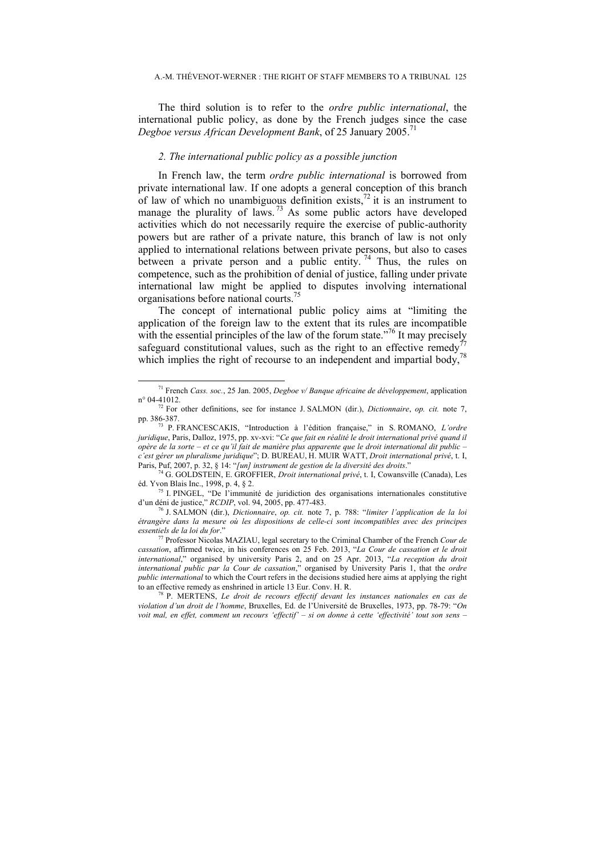The third solution is to refer to the *ordre public international*, the international public policy, as done by the French judges since the case *Degboe versus African Development Bank*, of 25 January 2005.<sup>71</sup>

### *2. The international public policy as a possible junction*

In French law, the term *ordre public international* is borrowed from private international law. If one adopts a general conception of this branch of law of which no unambiguous definition exists, $^{72}$  it is an instrument to manage the plurality of laws.<sup>73</sup> As some public actors have developed activities which do not necessarily require the exercise of public-authority powers but are rather of a private nature, this branch of law is not only applied to international relations between private persons, but also to cases between a private person and a public entity.<sup>74</sup> Thus, the rules on competence, such as the prohibition of denial of justice, falling under private international law might be applied to disputes involving international organisations before national courts.<sup>7</sup>

The concept of international public policy aims at "limiting the application of the foreign law to the extent that its rules are incompatible with the essential principles of the law of the forum state.<sup> $76$ </sup> It may precisely with the essential principles of the raw of the rotation such as the right to an effective remedy<sup>77</sup> safeguard constitutional values, such as the right to an effective remedy<sup>77</sup> which implies the right of recourse to an independent and impartial body,

<sup>75</sup> I. PINGEL, "De l'immunité de juridiction des organisations internationales constitutive d'un déni de justice," *RCDIP*, vol. 94, 2005, pp. 477-483. 76 J. SALMON (dir.), *Dictionnaire*, *op. cit.* note 7, p. 788: "*limiter l'application de la loi* 

 <sup>71</sup> French *Cass. soc.*, 25 Jan. 2005, *Degboe v/ Banque africaine de développement*, application n° 04-41012. 72 For other definitions, see for instance J. SALMON (dir.), *Dictionnaire*, *op. cit.* note 7,

pp. 386-387. 73 P. FRANCESCAKIS, "Introduction à l'édition française," in S. ROMANO, *L'ordre juridique*, Paris, Dalloz, 1975, pp. xv-xvi: "*Ce que fait en réalité le droit international privé quand il opère de la sorte – et ce qu'il fait de manière plus apparente que le droit international dit public – c'est gérer un pluralisme juridique*"; D. BUREAU, H. MUIR WATT, *Droit international privé*, t. I,

Paris, Puf, 2007, p. 32, § 14: "*[un] instrument de gestion de la diversité des droits*." 74 G. GOLDSTEIN, E. GROFFIER, *Droit international privé*, t. I, Cowansville (Canada), Les

*étrangère dans la mesure où les dispositions de celle-ci sont incompatibles avec des principes essentiels de la loi du for*." 77 Professor Nicolas MAZIAU, legal secretary to the Criminal Chamber of the French *Cour de* 

*cassation*, affirmed twice, in his conferences on 25 Feb. 2013, "*La Cour de cassation et le droit international*," organised by university Paris 2, and on 25 Apr. 2013, "*La reception du droit international public par la Cour de cassation*," organised by University Paris 1, that the *ordre public international* to which the Court refers in the decisions studied here aims at applying the right to an effective remedy as enshrined in article 13 Eur. Conv. H. R. 78 P. MERTENS, *Le droit de recours effectif devant les instances nationales en cas de* 

*violation d'un droit de l'homme*, Bruxelles, Ed. de l'Université de Bruxelles, 1973, pp. 78-79: "*On voit mal, en effet, comment un recours 'effectif' – si on donne à cette 'effectivité' tout son sens –*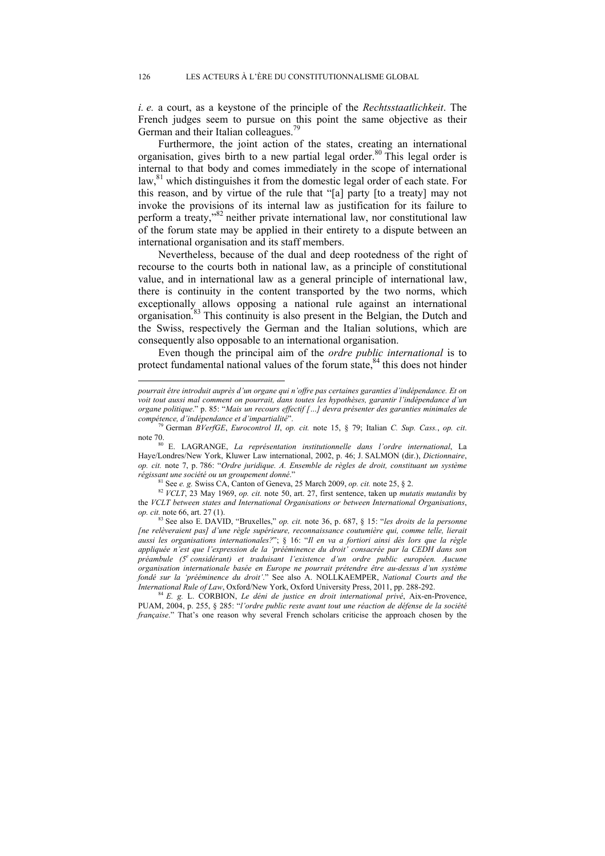*i. e.* a court, as a keystone of the principle of the *Rechtsstaatlichkeit*. The French judges seem to pursue on this point the same objective as their German and their Italian colleagues.<sup>79</sup>

Furthermore, the joint action of the states, creating an international organisation, gives birth to a new partial legal order.<sup>80</sup> This legal order is internal to that body and comes immediately in the scope of international law,<sup>81</sup> which distinguishes it from the domestic legal order of each state. For this reason, and by virtue of the rule that "[a] party [to a treaty] may not invoke the provisions of its internal law as justification for its failure to perform a treaty,"82 neither private international law, nor constitutional law of the forum state may be applied in their entirety to a dispute between an international organisation and its staff members.

Nevertheless, because of the dual and deep rootedness of the right of recourse to the courts both in national law, as a principle of constitutional value, and in international law as a general principle of international law, there is continuity in the content transported by the two norms, which exceptionally allows opposing a national rule against an international organisation.<sup>83</sup> This continuity is also present in the Belgian, the Dutch and the Swiss, respectively the German and the Italian solutions, which are consequently also opposable to an international organisation.

Even though the principal aim of the *ordre public international* is to protect fundamental national values of the forum state, $84$  this does not hinder

 $\overline{a}$ 

*pourrait être introduit auprès d'un organe qui n'offre pas certaines garanties d'indépendance. Et on voit tout aussi mal comment on pourrait, dans toutes les hypothèses, garantir l'indépendance d'un organe politique*." p. 85: "*Mais un recours effectif […] devra présenter des garanties minimales de* 

*compétence, d'indépendance et d'impartialité*". 79 German *BVerfGE*, *Eurocontrol II*, *op. cit.* note 15, § 79; Italian *C. Sup. Cass.*, *op. cit*.

note 70. 80 E. LAGRANGE, *La représentation institutionnelle dans l'ordre international*, La Haye/Londres/New York, Kluwer Law international, 2002, p. 46; J. SALMON (dir.), *Dictionnaire*, *op. cit.* note 7, p. 786: "*Ordre juridique. A. Ensemble de règles de droit, constituant un système* 

<sup>&</sup>lt;sup>81</sup> See *e. g.* Swiss CA, Canton of Geneva, 25 March 2009, *op. cit.* note 25,  $\S$  2.<br><sup>82</sup> *VCLT*, 23 May 1969, *op. cit.* note 50, art. 27, first sentence, taken up *mutatis mutandis* by the *VCLT between states and International Organisations or between International Organisations*, *op. cit.* note 66, art. 27 (1).

<sup>83</sup> See also E. DAVID, "Bruxelles," *op. cit.* note 36, p. 687, § 15: "*les droits de la personne [ne relèveraient pas] d'une règle supérieure, reconnaissance coutumière qui, comme telle, lierait aussi les organisations internationales?*"; § 16: "*Il en va a fortiori ainsi dès lors que la règle appliquée n'est que l'expression de la 'prééminence du droit' consacrée par la CEDH dans son préambule (5<sup>e</sup> considérant) et traduisant l'existence d'un ordre public européen. Aucune organisation internationale basée en Europe ne pourrait prétendre être au-dessus d'un système fondé sur la 'prééminence du droit'*." See also A. NOLLKAEMPER, *National Courts and the International Rule of Law*, Oxford/New York, Oxford University Press, 2011, pp. 288-292. 84 *E. g.* L. CORBION, *Le déni de justice en droit international privé*, Aix-en-Provence,

PUAM, 2004, p. 255, § 285: "*l'ordre public reste avant tout une réaction de défense de la société française*." That's one reason why several French scholars criticise the approach chosen by the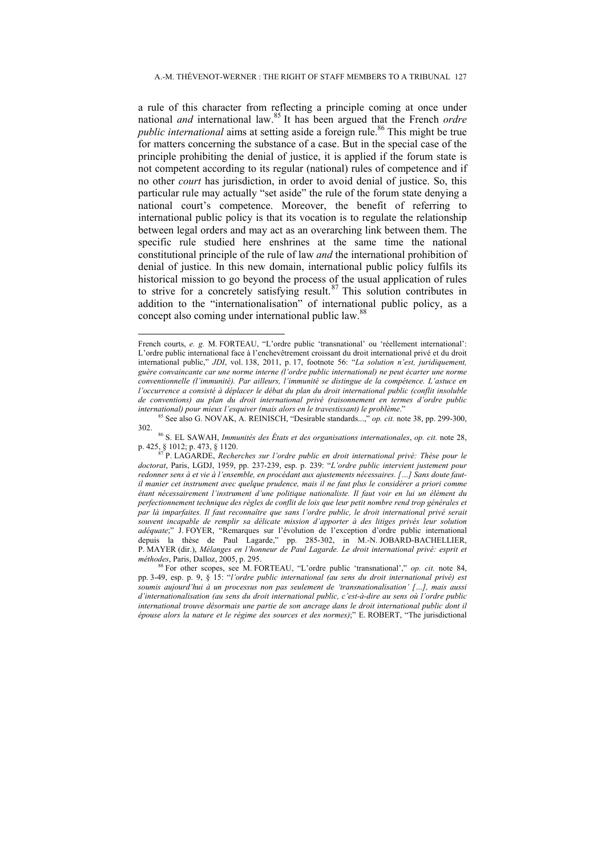a rule of this character from reflecting a principle coming at once under national *and* international law.<sup>85</sup> It has been argued that the French *ordre public international* aims at setting aside a foreign rule.<sup>86</sup> This might be true for matters concerning the substance of a case. But in the special case of the principle prohibiting the denial of justice, it is applied if the forum state is not competent according to its regular (national) rules of competence and if no other *court* has jurisdiction, in order to avoid denial of justice. So, this particular rule may actually "set aside" the rule of the forum state denying a national court's competence. Moreover, the benefit of referring to international public policy is that its vocation is to regulate the relationship between legal orders and may act as an overarching link between them. The specific rule studied here enshrines at the same time the national constitutional principle of the rule of law *and* the international prohibition of denial of justice. In this new domain, international public policy fulfils its historical mission to go beyond the process of the usual application of rules to strive for a concretely satisfying result.<sup>87</sup> This solution contributes in addition to the "internationalisation" of international public policy, as a concept also coming under international public law.<sup>88</sup>

 $\overline{a}$ 

French courts, *e. g. M. FORTEAU*, "L'ordre public 'transnational' ou 'réellement international': L'ordre public international face à l'enchevêtrement croissant du droit international privé et du droit international public," *JDI*, vol. 138, 2011, p. 17, footnote 56: "*La solution n'est, juridiquement, guère convaincante car une norme interne (l'ordre public international) ne peut écarter une norme conventionnelle (l'immunité). Par ailleurs, l'immunité se distingue de la compétence. L'astuce en l'occurrence a consisté à déplacer le débat du plan du droit international public (conflit insoluble de conventions) au plan du droit international privé (raisonnement en termes d'ordre public* 

<sup>&</sup>lt;sup>55</sup> See also G. NOVAK, A. REINISCH, "Desirable standards...," *op. cit.* note 38, pp. 299-300,

<sup>302. 86</sup> S. EL SAWAH, *Immunités des États et des organisations internationales*, *op. cit.* note 28,

P. LAGARDE, *Recherches sur l'ordre public en droit international privé: Thèse pour le doctorat*, Paris, LGDJ, 1959, pp. 237-239, esp. p. 239: "*L'ordre public intervient justement pour redonner sens à et vie à l'ensemble, en procédant aux ajustements nécessaires. […] Sans doute fautil manier cet instrument avec quelque prudence, mais il ne faut plus le considérer a priori comme étant nécessairement l'instrument d'une politique nationaliste. Il faut voir en lui un élément du perfectionnement technique des règles de conflit de lois que leur petit nombre rend trop générales et par là imparfaites. Il faut reconnaître que sans l'ordre public, le droit international privé serait souvent incapable de remplir sa délicate mission d'apporter à des litiges privés leur solution adéquate*;" J. FOYER, "Remarques sur l'évolution de l'exception d'ordre public international depuis la thèse de Paul Lagarde," pp. 285-302, in M.-N. JOBARD-BACHELLIER, P. MAYER (dir.), *Mélanges en l'honneur de Paul Lagarde. Le droit international privé: esprit et méthodes*, Paris, Dalloz, 2005, p. 295.<br><sup>88</sup> For other scopes, see M. FORTEAU, "L'ordre public 'transnational'," *op. cit.* note 84,

pp. 3-49, esp. p. 9, § 15: "*l'ordre public international (au sens du droit international privé) est soumis aujourd'hui à un processus non pas seulement de 'transnationalisation' […], mais aussi d'internationalisation (au sens du droit international public, c'est-à-dire au sens où l'ordre public international trouve désormais une partie de son ancrage dans le droit international public dont il épouse alors la nature et le régime des sources et des normes)*;" E. ROBERT, "The jurisdictional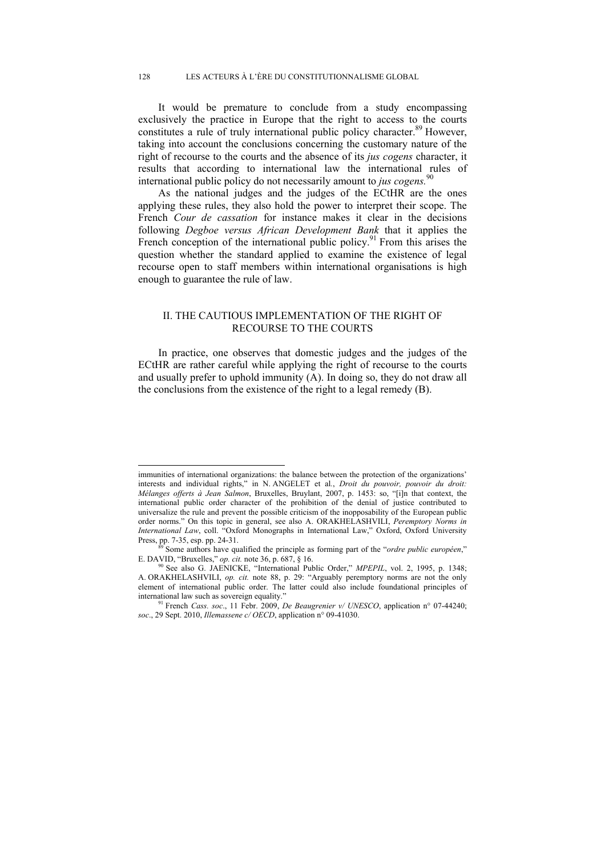It would be premature to conclude from a study encompassing exclusively the practice in Europe that the right to access to the courts constitutes a rule of truly international public policy character.<sup>89</sup> However, taking into account the conclusions concerning the customary nature of the right of recourse to the courts and the absence of its *jus cogens* character, it results that according to international law the international rules of international public policy do not necessarily amount to *jus cogens*.<sup>9</sup>

As the national judges and the judges of the ECtHR are the ones applying these rules, they also hold the power to interpret their scope. The French *Cour de cassation* for instance makes it clear in the decisions following *Degboe versus African Development Bank* that it applies the French conception of the international public policy.<sup>91</sup> From this arises the question whether the standard applied to examine the existence of legal recourse open to staff members within international organisations is high enough to guarantee the rule of law.

# II. THE CAUTIOUS IMPLEMENTATION OF THE RIGHT OF RECOURSE TO THE COURTS

In practice, one observes that domestic judges and the judges of the ECtHR are rather careful while applying the right of recourse to the courts and usually prefer to uphold immunity (A). In doing so, they do not draw all the conclusions from the existence of the right to a legal remedy (B).

 $\overline{a}$ 

immunities of international organizations: the balance between the protection of the organizations' interests and individual rights," in N. ANGELET et al*.*, *Droit du pouvoir, pouvoir du droit: Mélanges offerts à Jean Salmon*, Bruxelles, Bruylant, 2007, p. 1453: so, "[i]n that context, the international public order character of the prohibition of the denial of justice contributed to universalize the rule and prevent the possible criticism of the inopposability of the European public order norms." On this topic in general, see also A. ORAKHELASHVILI, *Peremptory Norms in International Law*, coll. "Oxford Monographs in International Law," Oxford, Oxford University Press, pp. 7-35, esp. pp. 24-31.

Some authors have qualified the principle as forming part of the "ordre public européen," E. DAVID, "Bruxelles," *op. cit.* note 36, p. 687, § 16.<br><sup>90</sup> See also G. JAENICKE, "International Public Order," *MPEPIL*, vol. 2, 1995, p. 1348;

A. ORAKHELASHVILI, *op. cit.* note 88, p. 29: "Arguably peremptory norms are not the only element of international public order. The latter could also include foundational principles of international law such as sovereign equality." 91 French *Cass. soc*., 11 Febr. 2009, *De Beaugrenier v/ UNESCO*, application n° 07-44240;

*soc*., 29 Sept. 2010, *Illemassene c/ OECD*, application n° 09-41030.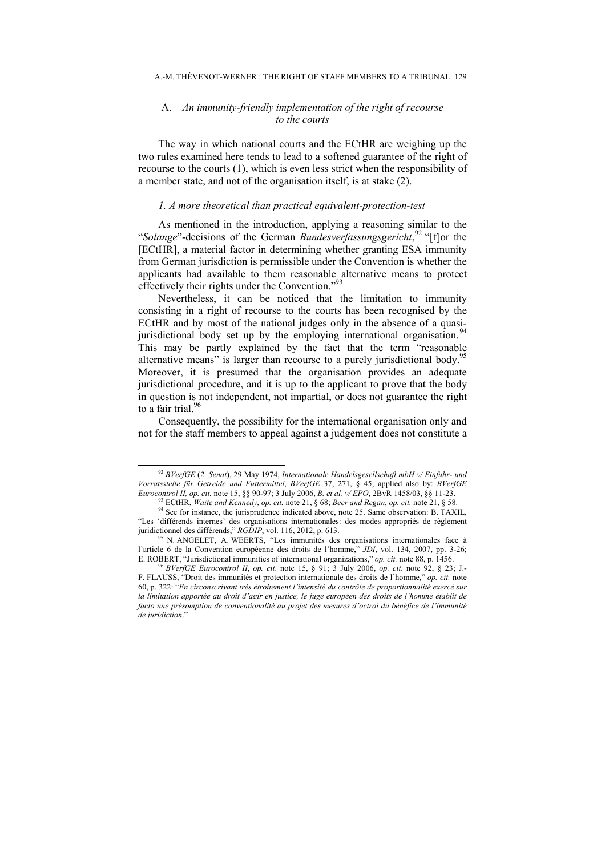# A. *– An immunity-friendly implementation of the right of recourse to the courts*

The way in which national courts and the ECtHR are weighing up the two rules examined here tends to lead to a softened guarantee of the right of recourse to the courts (1), which is even less strict when the responsibility of a member state, and not of the organisation itself, is at stake (2).

#### *1. A more theoretical than practical equivalent-protection-test*

As mentioned in the introduction, applying a reasoning similar to the "*Solange*"-decisions of the German *Bundesverfassungsgericht*, <sup>92</sup> "[f]or the [ECtHR], a material factor in determining whether granting ESA immunity from German jurisdiction is permissible under the Convention is whether the applicants had available to them reasonable alternative means to protect effectively their rights under the Convention."<sup>9</sup>

Nevertheless, it can be noticed that the limitation to immunity consisting in a right of recourse to the courts has been recognised by the ECtHR and by most of the national judges only in the absence of a quasijurisdictional body set up by the employing international organisation.<sup>94</sup> This may be partly explained by the fact that the term "reasonable alternative means" is larger than recourse to a purely jurisdictional body.<sup>97</sup> Moreover, it is presumed that the organisation provides an adequate jurisdictional procedure, and it is up to the applicant to prove that the body in question is not independent, not impartial, or does not guarantee the right to a fair trial. $96$ 

Consequently, the possibility for the international organisation only and not for the staff members to appeal against a judgement does not constitute a

 <sup>92</sup> *BVerfGE* (*2. Senat*), 29 May 1974, *Internationale Handelsgesellschaft mbH v/ Einfuhr- und Vorratsstelle für Getreide und Futtermittel, BVerfGE* 37, 271, § 45; applied also by: *BVerfGE Eurocontrol II, op. cit.* note 15, §§ 90-97; 3 July 2006, *B. et al. v/ EPO*, 2BvR 1458/03, §§ 11-23.

<sup>&</sup>lt;sup>93</sup> ECtHR, *Waite and Kennedy*, *op. cit.* note 21, § 68; *Beer and Regan, op. cit.* note 21, § 58.<br><sup>94</sup> See for instance, the jurisprudence indicated above, note 25. Same observation: B. TAXIL, "Les 'différends internes' des organisations internationales: des modes appropriés de règlement juridictionnel des différends," RGDIP, vol. 116, 2012, p. 613.

<sup>&</sup>lt;sup>95</sup> N. ANGELET, A. WEERTS, "Les immunités des organisations internationales face à l'article 6 de la Convention européenne des droits de l'homme," *JDI*, vol. 134, 2007, pp. 3-26; E. ROBERT, "Jurisdictional immunities of international organizations," *op. cit.* note 88, p. 1456. 96 *BVerfGE Eurocontrol II*, *op. cit*. note 15, § 91; 3 July 2006, *op. cit*. note 92, § 23; J.-

F. FLAUSS, "Droit des immunités et protection internationale des droits de l'homme," *op. cit.* note 60, p. 322: "*En circonscrivant très étroitement l'intensité du contrôle de proportionnalité exercé sur la limitation apportée au droit d'agir en justice, le juge européen des droits de l'homme établit de facto une présomption de conventionalité au projet des mesures d'octroi du bénéfice de l'immunité de juridiction*."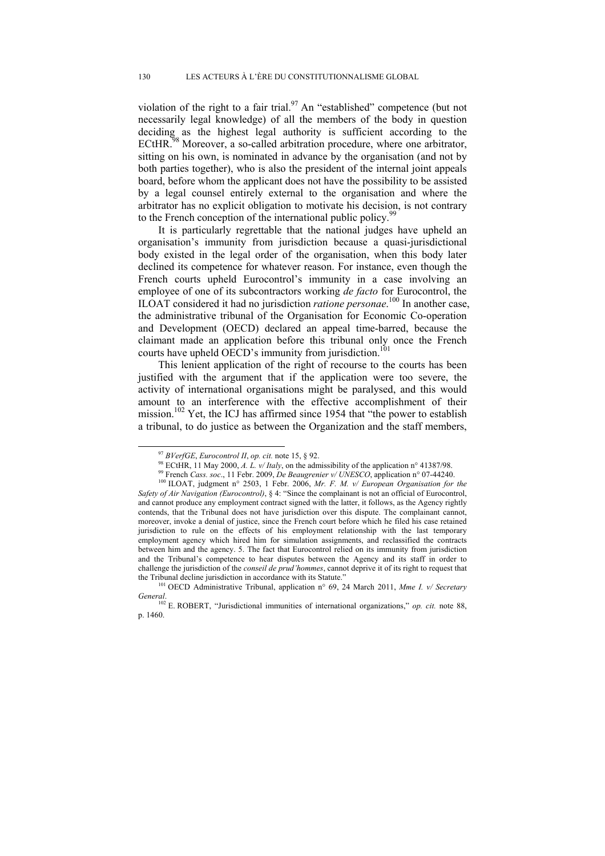violation of the right to a fair trial.<sup>97</sup> An "established" competence (but not necessarily legal knowledge) of all the members of the body in question deciding as the highest legal authority is sufficient according to the ECtHR.<sup>98</sup> Moreover, a so-called arbitration procedure, where one arbitrator, sitting on his own, is nominated in advance by the organisation (and not by both parties together), who is also the president of the internal joint appeals board, before whom the applicant does not have the possibility to be assisted by a legal counsel entirely external to the organisation and where the arbitrator has no explicit obligation to motivate his decision, is not contrary to the French conception of the international public policy.<sup>99</sup>

It is particularly regrettable that the national judges have upheld an organisation's immunity from jurisdiction because a quasi-jurisdictional body existed in the legal order of the organisation, when this body later declined its competence for whatever reason. For instance, even though the French courts upheld Eurocontrol's immunity in a case involving an employee of one of its subcontractors working *de facto* for Eurocontrol, the ILOAT considered it had no jurisdiction *ratione personae*. 100 In another case, the administrative tribunal of the Organisation for Economic Co-operation and Development (OECD) declared an appeal time-barred, because the claimant made an application before this tribunal only once the French courts have upheld  $\overrightarrow{OECD}$ 's immunity from jurisdiction.<sup>101</sup>

This lenient application of the right of recourse to the courts has been justified with the argument that if the application were too severe, the activity of international organisations might be paralysed, and this would amount to an interference with the effective accomplishment of their mission.102 Yet, the ICJ has affirmed since 1954 that "the power to establish a tribunal, to do justice as between the Organization and the staff members,

<sup>&</sup>lt;sup>97</sup> *BVerfGE, Eurocontrol II, op. cit.* note 15, § 92.<br><sup>98</sup> ECtHR, 11 May 2000, *A. L. v/ Italy*, on the admissibility of the application n° 41387/98.<br><sup>99</sup> French *Cass. soc.*, 11 Febr. 2009, *De Beaugrenier v/ UNESCO*, *Safety of Air Navigation (Eurocontrol)*, § 4: "Since the complainant is not an official of Eurocontrol, and cannot produce any employment contract signed with the latter, it follows, as the Agency rightly contends, that the Tribunal does not have jurisdiction over this dispute. The complainant cannot, moreover, invoke a denial of justice, since the French court before which he filed his case retained jurisdiction to rule on the effects of his employment relationship with the last temporary employment agency which hired him for simulation assignments, and reclassified the contracts between him and the agency. 5. The fact that Eurocontrol relied on its immunity from jurisdiction and the Tribunal's competence to hear disputes between the Agency and its staff in order to challenge the jurisdiction of the *conseil de prud'hommes*, cannot deprive it of its right to request that

the Tribunal decline jurisdiction in accordance with its Statute." 101 OECD Administrative Tribunal, application n° 69, 24 March 2011, *Mme I. v/ Secretary General*.

<sup>&</sup>lt;sup>102</sup> E. ROBERT, "Jurisdictional immunities of international organizations," *op. cit.* note 88, p. 1460.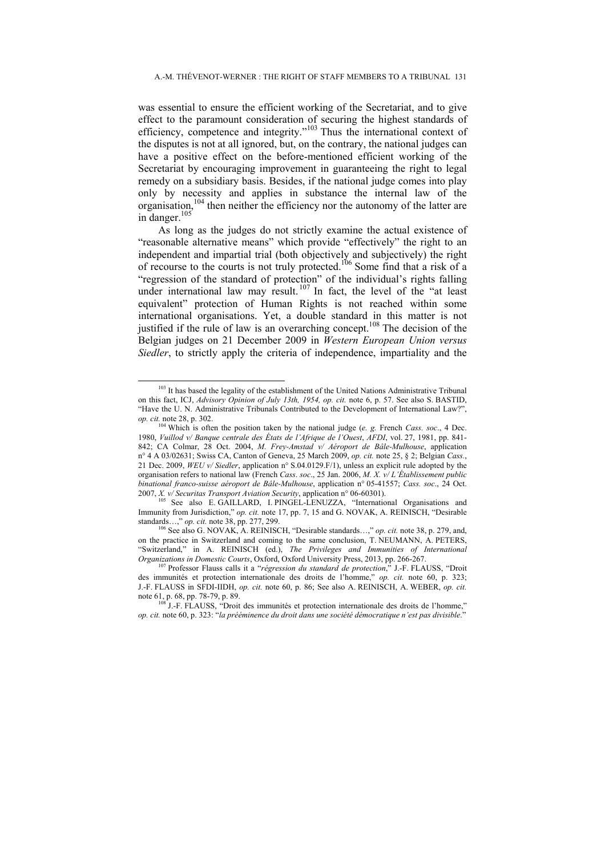was essential to ensure the efficient working of the Secretariat, and to give effect to the paramount consideration of securing the highest standards of efficiency, competence and integrity."103 Thus the international context of the disputes is not at all ignored, but, on the contrary, the national judges can have a positive effect on the before-mentioned efficient working of the Secretariat by encouraging improvement in guaranteeing the right to legal remedy on a subsidiary basis. Besides, if the national judge comes into play only by necessity and applies in substance the internal law of the organisation,104 then neither the efficiency nor the autonomy of the latter are in danger.<sup>105</sup>

As long as the judges do not strictly examine the actual existence of "reasonable alternative means" which provide "effectively" the right to an independent and impartial trial (both objectively and subjectively) the right of recourse to the courts is not truly protected.106 Some find that a risk of a "regression of the standard of protection" of the individual's rights falling under international law may result.<sup>107</sup> In fact, the level of the "at least equivalent" protection of Human Rights is not reached within some international organisations. Yet, a double standard in this matter is not justified if the rule of law is an overarching concept.<sup>108</sup> The decision of the Belgian judges on 21 December 2009 in *Western European Union versus Siedler*, to strictly apply the criteria of independence, impartiality and the

<sup>&</sup>lt;sup>103</sup> It has based the legality of the establishment of the United Nations Administrative Tribunal on this fact, ICJ, *Advisory Opinion of July 13th, 1954, op. cit.* note 6, p. 57. See also S. BASTID, "Have the U. N. Administrative Tribunals Contributed to the Development of International Law?", *op. cit.* note 28, p. 302.

<sup>&</sup>lt;sup>4</sup> Which is often the position taken by the national judge (*e. g. French Cass. soc.*, 4 Dec. 1980, *Vuillod v/ Banque centrale des États de l'Afrique de l'Ouest*, *AFDI*, vol. 27, 1981, pp. 841- 842; CA Colmar, 28 Oct. 2004, *M. Frey-Amstad v/ Aéroport de Bâle-Mulhouse*, application n° 4 A 03/02631; Swiss CA, Canton of Geneva, 25 March 2009, *op. cit.* note 25, § 2; Belgian *Cass.*, 21 Dec. 2009, *WEU v/ Siedler*, application n° S.04.0129.F/1), unless an explicit rule adopted by the organisation refers to national law (French *Cass*. *soc*., 25 Jan. 2006, *M. X. v/ L'Établissement public binational franco-suisse aéroport de Bâle-Mulhouse*, application n° 05-41557; *Cass. soc*., 24 Oct.

<sup>&</sup>lt;sup>105</sup> See also E. GAILLARD, I. PINGEL-LENUZZA, "International Organisations and Immunity from Jurisdiction," *op. cit.* note 17, pp. 7, 15 and G. NOVAK, A. REINISCH, "Desirable standards…," *op. cit.* note 38, pp. 277, 299.<br><sup>106</sup> See also G. NOVAK, A. REINISCH, "Desirable standards…," *op. cit.* note 38, p. 279, and,

on the practice in Switzerland and coming to the same conclusion, T. NEUMANN, A. PETERS. "Switzerland," in A. REINISCH (ed.), *The Privileges and Immunities of International Organizations in Domestic Courts*, Oxford, Oxford University Press, 2013, pp. 266-267. 107 Professor Flauss calls it a "*régression du standard de protection*," J.-F. FLAUSS, "Droit

des immunités et protection internationale des droits de l'homme," *op. cit.* note 60, p. 323; J.-F. FLAUSS in SFDI-IIDH, *op. cit.* note 60, p. 86; See also A. REINISCH, A. WEBER, *op. cit.*  note 61, p. 68, pp. 78-79, p. 89.<br><sup>108</sup> J.-F. FLAUSS, "Droit des immunités et protection internationale des droits de l'homme,"

*op. cit.* note 60, p. 323: "*la prééminence du droit dans une société démocratique n'est pas divisible*."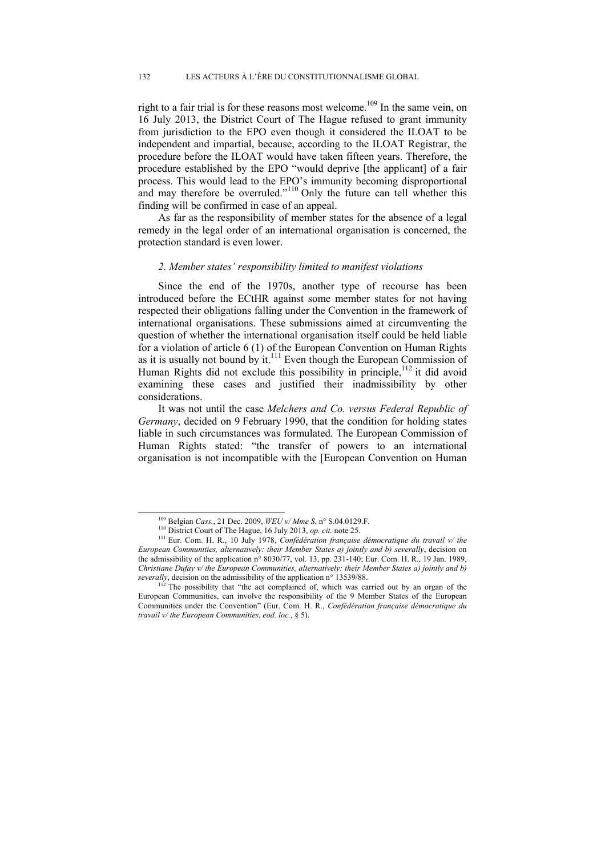right to a fair trial is for these reasons most welcome.<sup>109</sup> In the same vein, on 16 July 2013, the District Court of The Hague refused to grant immunity from jurisdiction to the EPO even though it considered the ILOAT to be independent and impartial, because, according to the ILOAT Registrar, the procedure before the ILOAT would have taken fifteen years. Therefore, the procedure established by the EPO "would deprive [the applicant] of a fair process. This would lead to the EPO's immunity becoming disproportional and may therefore be overruled."<sup>110</sup> Only the future can tell whether this finding will be confirmed in case of an appeal.

As far as the responsibility of member states for the absence of a legal remedy in the legal order of an international organisation is concerned, the protection standard is even lower.

#### *2. Member states' responsibility limited to manifest violations*

Since the end of the 1970s, another type of recourse has been introduced before the ECtHR against some member states for not having respected their obligations falling under the Convention in the framework of international organisations. These submissions aimed at circumventing the question of whether the international organisation itself could be held liable for a violation of article 6 (1) of the European Convention on Human Rights as it is usually not bound by it.<sup>111</sup> Even though the European Commission of Human Rights did not exclude this possibility in principle, $112$  it did avoid examining these cases and justified their inadmissibility by other considerations.

It was not until the case *Melchers and Co. versus Federal Republic of Germany*, decided on 9 February 1990, that the condition for holding states liable in such circumstances was formulated. The European Commission of Human Rights stated: "the transfer of powers to an international organisation is not incompatible with the [European Convention on Human

 <sup>109</sup> Belgian *Cass.*, 21 Dec. 2009, *WEU v/ Mme S*, n° S.04.0129.F*.*

<sup>&</sup>lt;sup>111</sup> Eur. Com. H. R., 10 July 1978, *Confédération française démocratique du travail v/ the European Communities, alternatively: their Member States a) jointly and b) severally*, decision on the admissibility of the application n° 8030/77, vol. 13, pp. 231-140; Eur. Com. H. R., 19 Jan. 1989, *Christiane Dufay v/ the European Communities, alternatively: their Member States a) jointly and b) severally, decision on the admissibility of the application*  $n^{\circ}$  13539/88.

<sup>&</sup>lt;sup>112</sup> The possibility that "the act complained of, which was carried out by an organ of the European Communities, can involve the responsibility of the 9 Member States of the European Communities under the Convention" (Eur. Com. H. R., *Confédération française démocratique du travail v/ the European Communities*, *eod. loc.*, § 5).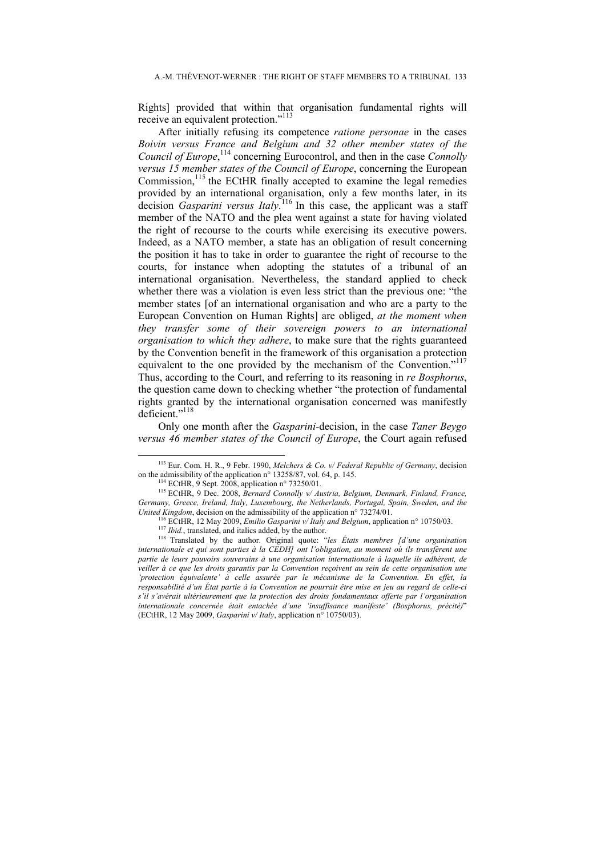Rights] provided that within that organisation fundamental rights will receive an equivalent protection."<sup>113</sup>

After initially refusing its competence *ratione personae* in the cases *Boivin versus France and Belgium and 32 other member states of the Council of Europe*, <sup>114</sup> concerning Eurocontrol, and then in the case *Connolly versus 15 member states of the Council of Europe*, concerning the European Commission,<sup>115</sup> the ECtHR finally accepted to examine the legal remedies provided by an international organisation, only a few months later, in its decision *Gasparini versus Italy*. <sup>116</sup> In this case, the applicant was a staff member of the NATO and the plea went against a state for having violated the right of recourse to the courts while exercising its executive powers. Indeed, as a NATO member, a state has an obligation of result concerning the position it has to take in order to guarantee the right of recourse to the courts, for instance when adopting the statutes of a tribunal of an international organisation. Nevertheless, the standard applied to check whether there was a violation is even less strict than the previous one: "the member states [of an international organisation and who are a party to the European Convention on Human Rights] are obliged, *at the moment when they transfer some of their sovereign powers to an international organisation to which they adhere*, to make sure that the rights guaranteed by the Convention benefit in the framework of this organisation a protection equivalent to the one provided by the mechanism of the Convention."<sup>117</sup> Thus, according to the Court, and referring to its reasoning in *re Bosphorus*, the question came down to checking whether "the protection of fundamental rights granted by the international organisation concerned was manifestly deficient."<sup>118</sup>

Only one month after the *Gasparini-*decision, in the case *Taner Beygo versus 46 member states of the Council of Europe*, the Court again refused

<sup>&</sup>lt;sup>113</sup> Eur. Com. H. R., 9 Febr. 1990, *Melchers & Co. v/ Federal Republic of Germany*, decision on the admissibility of the application n° 13258/87, vol. 64, p. 145.

<sup>&</sup>lt;sup>114</sup> ECtHR, 9 Sept. 2008, application n° 73250/01.<br><sup>115</sup> ECtHR, 9 Dec. 2008, *Bernard Connolly v/ Austria, Belgium, Denmark, Finland, France, Germany, Greece, Ireland, Italy, Luxembourg, the Netherlands, Portugal, Spain, Sweden, and the United Kingdom, decision on the admissibility of the application* n° 73274/01.

<sup>&</sup>lt;sup>116</sup> ECtHR, 12 May 2009, *Emilio Gasparini v/ Italy and Belgium*, application n° 10750/03.<br><sup>117</sup> *Ibid.*, translated, and italics added, by the author.<br><sup>118</sup> Translated by the author. Original quote: "les *États membres* 

*internationale et qui sont parties à la CEDH] ont l'obligation, au moment où ils transfèrent une partie de leurs pouvoirs souverains à une organisation internationale à laquelle ils adhèrent, de veiller à ce que les droits garantis par la Convention reçoivent au sein de cette organisation une 'protection équivalente' à celle assurée par le mécanisme de la Convention. En effet, la responsabilité d'un État partie à la Convention ne pourrait être mise en jeu au regard de celle-ci s'il s'avérait ultérieurement que la protection des droits fondamentaux offerte par l'organisation internationale concernée était entachée d'une 'insuffisance manifeste' (Bosphorus, précité)*" (ECtHR, 12 May 2009, *Gasparini v/ Italy*, application n° 10750/03).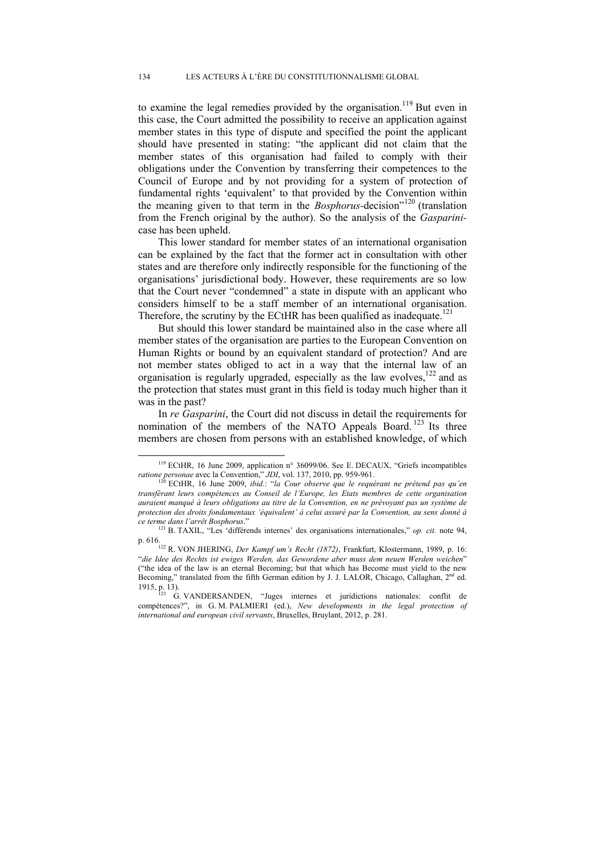to examine the legal remedies provided by the organisation.<sup>119</sup> But even in this case, the Court admitted the possibility to receive an application against member states in this type of dispute and specified the point the applicant should have presented in stating: "the applicant did not claim that the member states of this organisation had failed to comply with their obligations under the Convention by transferring their competences to the Council of Europe and by not providing for a system of protection of fundamental rights 'equivalent' to that provided by the Convention within the meaning given to that term in the *Bosphorus-*decision"120 (translation from the French original by the author). So the analysis of the *Gasparini*case has been upheld.

This lower standard for member states of an international organisation can be explained by the fact that the former act in consultation with other states and are therefore only indirectly responsible for the functioning of the organisations' jurisdictional body. However, these requirements are so low that the Court never "condemned" a state in dispute with an applicant who considers himself to be a staff member of an international organisation. Therefore, the scrutiny by the ECtHR has been qualified as inadequate.<sup>121</sup>

But should this lower standard be maintained also in the case where all member states of the organisation are parties to the European Convention on Human Rights or bound by an equivalent standard of protection? And are not member states obliged to act in a way that the internal law of an organisation is regularly upgraded, especially as the law evolves,<sup>122</sup> and as the protection that states must grant in this field is today much higher than it was in the past?

In *re Gasparini*, the Court did not discuss in detail the requirements for nomination of the members of the NATO Appeals Board.  $123$  Its three members are chosen from persons with an established knowledge, of which

<sup>&</sup>lt;sup>119</sup> ECtHR, 16 June 2009, application n° 36099/06. See E. DECAUX, "Griefs incompatibles *ratione personae* avec la Convention," *JDI*, vol. 137, 2010, pp. 959-961.<br><sup>120</sup> ECtHR, 16 June 2009, *ibid.*: "*la Cour observe que le requérant ne prétend pas qu'en* <sup>120</sup>

*transférant leurs compétences au Conseil de l'Europe, les Etats membres de cette organisation auraient manqué à leurs obligations au titre de la Convention, en ne prévoyant pas un système de protection des droits fondamentaux 'équivalent' à celui assuré par la Convention, au sens donné à ce terme dans l'arrêt Bosphorus*." 121 B. TAXIL, "Les 'différends internes' des organisations internationales," *op. cit.* note 94,

p. 616. 122 R. VON JHERING, *Der Kampf um's Recht (1872)*, Frankfurt, Klostermann, 1989, p. 16: "*die Idee des Rechts ist ewiges Werden, das Gewordene aber muss dem neuen Werden weichen*" ("the idea of the law is an eternal Becoming; but that which has Become must yield to the new Becoming," translated from the fifth German edition by J. J. LALOR, Chicago, Callaghan, 2<sup>nd</sup> ed.

<sup>1915,</sup> p. 13).<br> $\frac{123}{123}$  G. VANDERSANDEN, "Juges internes et juridictions nationales: conflit de compétences?", in G. M. PALMIERI (ed.), *New developments in the legal protection of international and european civil servants*, Bruxelles, Bruylant, 2012, p. 281.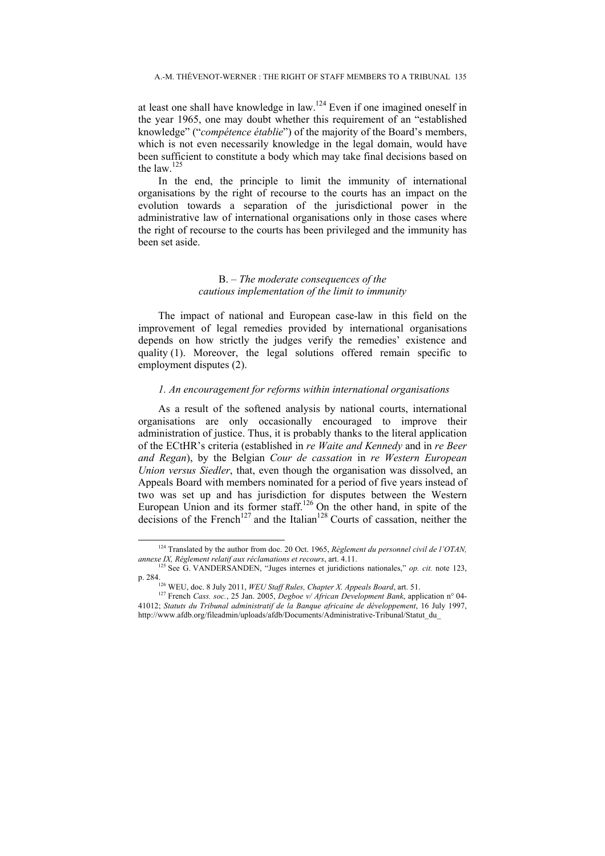at least one shall have knowledge in law.<sup>124</sup> Even if one imagined oneself in the year 1965, one may doubt whether this requirement of an "established knowledge" ("*compétence établie*") of the majority of the Board's members, which is not even necessarily knowledge in the legal domain, would have been sufficient to constitute a body which may take final decisions based on the law.<sup>12</sup>

In the end, the principle to limit the immunity of international organisations by the right of recourse to the courts has an impact on the evolution towards a separation of the jurisdictional power in the administrative law of international organisations only in those cases where the right of recourse to the courts has been privileged and the immunity has been set aside.

# B. *– The moderate consequences of the cautious implementation of the limit to immunity*

The impact of national and European case-law in this field on the improvement of legal remedies provided by international organisations depends on how strictly the judges verify the remedies' existence and quality (1). Moreover, the legal solutions offered remain specific to employment disputes (2).

#### *1. An encouragement for reforms within international organisations*

As a result of the softened analysis by national courts, international organisations are only occasionally encouraged to improve their administration of justice. Thus, it is probably thanks to the literal application of the ECtHR's criteria (established in *re Waite and Kennedy* and in *re Beer and Regan*), by the Belgian *Cour de cassation* in *re Western European Union versus Siedler*, that, even though the organisation was dissolved, an Appeals Board with members nominated for a period of five years instead of two was set up and has jurisdiction for disputes between the Western European Union and its former staff.<sup>126</sup> On the other hand, in spite of the decisions of the French<sup>127</sup> and the Italian<sup>128</sup> Courts of cassation, neither the

 <sup>124</sup> Translated by the author from doc. 20 Oct. 1965, *Règlement du personnel civil de l'OTAN, annexe IX, Règlement relatif aux réclamations et recours*, art. 4.11. <sup>125</sup> See G. VANDERSANDEN, "Juges internes et juridictions nationales," *op. cit.* note 123,

p. 284. 126 WEU, doc. 8 July 2011, *WEU Staff Rules, Chapter X. Appeals Board*, art. 51. 127 French *Cass. soc.*, 25 Jan. 2005, *Degboe v/ African Development Bank*, application n° 04- 41012; *Statuts du Tribunal administratif de la Banque africaine de développement*, 16 July 1997, http://www.afdb.org/fileadmin/uploads/afdb/Documents/Administrative-Tribunal/Statut\_du\_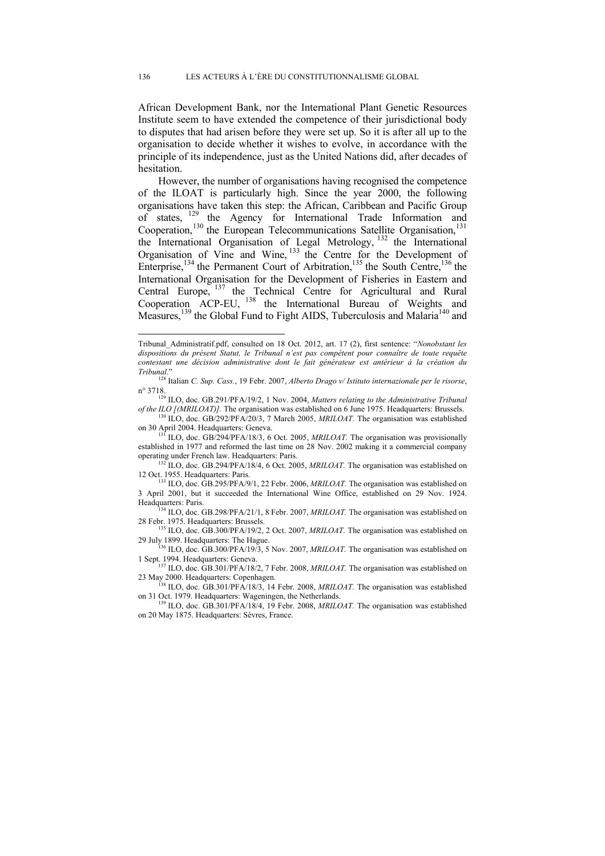African Development Bank, nor the International Plant Genetic Resources Institute seem to have extended the competence of their jurisdictional body to disputes that had arisen before they were set up. So it is after all up to the organisation to decide whether it wishes to evolve, in accordance with the principle of its independence, just as the United Nations did, after decades of hesitation.

However, the number of organisations having recognised the competence of the ILOAT is particularly high. Since the year 2000, the following organisations have taken this step: the African, Caribbean and Pacific Group of states, 129 the Agency for International Trade Information and Cooperation,<sup>130</sup> the European Telecommunications Satellite Organisation,<sup>131</sup> the International Organisation of Legal Metrology, <sup>132</sup> the International Organisation of Vine and Wine, <sup>133</sup> the Centre for the Development of Enterprise,<sup>134</sup> the Permanent Court of Arbitration,<sup>135</sup> the South Centre,<sup>136</sup> the International Organisation for the Development of Fisheries in Eastern and Central Europe, <sup>137</sup> the Technical Centre for Agricultural and Rural Cooperation ACP-EU, <sup>138</sup> the International Bureau of Weights and Measures,<sup>139</sup> the Global Fund to Fight AIDS, Tuberculosis and Malaria<sup>140</sup> and

 $\overline{a}$ 

<sup>136</sup> ILO, doc. GB.300/PFA/19/3, 5 Nov. 2007, *MRILOAT*. The organisation was established on

Tribunal\_Administratif.pdf, consulted on 18 Oct. 2012, art. 17 (2), first sentence: "*Nonobstant les dispositions du présent Statut, le Tribunal n'est pas compétent pour connaître de toute requête contestant une décision administrative dont le fait générateur est antérieur à la création du* 

*Tribunal*." 128 Italian *C. Sup. Cass.*, 19 Febr. 2007, *Alberto Drago v/ Istituto internazionale per le risorse*,

n<sup>o</sup> 3718.<br><sup>129</sup> ILO, doc. GB.291/PFA/19/2, 1 Nov. 2004, *Matters relating to the Administrative Tribunal*<br>*of the ILO [(MRILOAT)]*. The organisation was established on 6 June 1975. Headquarters: Brussels.

<sup>&</sup>lt;sup>130</sup> ILO, doc. GB/292/PFA/20/3, 7 March 2005, *MRILOAT*. The organisation was established on 30 April 2004. Headquarters: Geneva.

<sup>&</sup>lt;sup>131</sup> ILO, doc. GB/294/PFA/18/3, 6 Oct. 2005, *MRILOAT*. The organisation was provisionally established in 1977 and reformed the last time on 28 Nov. 2002 making it a commercial company

operating under French law. Headquarters: Paris.<br><sup>132</sup> ILO, doc. GB.294/PFA/18/4, 6 Oct. 2005, *MRILOAT*. The organisation was established on<br>12 Oct. 1955. Headquarters: Paris.

<sup>&</sup>lt;sup>133</sup> ILO, doc. GB.295/PFA/9/1, 22 Febr. 2006, *MRILOAT*. The organisation was established on 3 April 2001, but it succeeded the International Wine Office, established on 29 Nov. 1924.

<sup>&</sup>lt;sup>134</sup> ILO, doc. GB.298/PFA/21/1, 8 Febr. 2007, *MRILOAT*. The organisation was established on

<sup>28</sup> Febr. 1975. Headquarters: Brussels.<br><sup>135</sup> ILO, doc. GB.300/PFA/19/2, 2 Oct. 2007, *MRILOAT*. The organisation was established on<br>29 July 1899. Headquarters: The Hague.

<sup>1</sup> Sept. 1994. Headquarters: Geneva.<br><sup>137</sup> ILO, doc. GB.301/PFA/18/2, 7 Febr. 2008, *MRILOAT*. The organisation was established on<br>23 May 2000. Headquarters: Copenhagen.

<sup>23</sup> May 2000. May 138 ILO, doc. GB.301/PFA/18/3, 14 Febr. 2008, *MRILOAT*. The organisation was established<br>on 31 Oct. 1979. Headquarters: Wageningen, the Netherlands.

 $^{139}$  ILO, doc. GB.301/PFA/18/4, 19 Febr. 2008, *MRILOAT*. The organisation was established on 20 May 1875. Headquarters: Sèvres, France.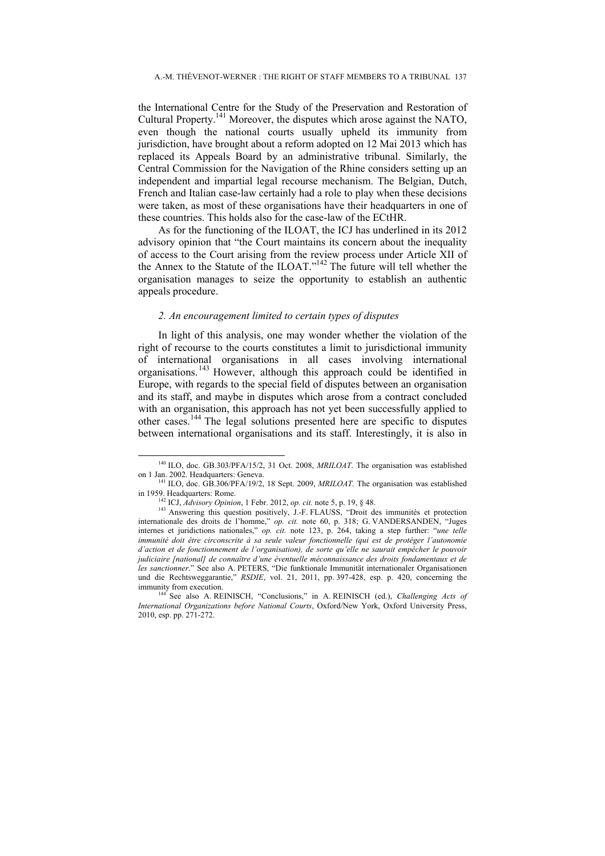the International Centre for the Study of the Preservation and Restoration of Cultural Property.<sup>141</sup> Moreover, the disputes which arose against the NATO, even though the national courts usually upheld its immunity from jurisdiction, have brought about a reform adopted on 12 Mai 2013 which has replaced its Appeals Board by an administrative tribunal. Similarly, the Central Commission for the Navigation of the Rhine considers setting up an independent and impartial legal recourse mechanism. The Belgian, Dutch, French and Italian case-law certainly had a role to play when these decisions were taken, as most of these organisations have their headquarters in one of these countries. This holds also for the case-law of the ECtHR.

As for the functioning of the ILOAT, the ICJ has underlined in its 2012 advisory opinion that "the Court maintains its concern about the inequality of access to the Court arising from the review process under Article XII of the Annex to the Statute of the ILOAT."142 The future will tell whether the organisation manages to seize the opportunity to establish an authentic appeals procedure.

### *2. An encouragement limited to certain types of disputes*

In light of this analysis, one may wonder whether the violation of the right of recourse to the courts constitutes a limit to jurisdictional immunity of international organisations in all cases involving international organisations. 143 However, although this approach could be identified in Europe, with regards to the special field of disputes between an organisation and its staff, and maybe in disputes which arose from a contract concluded with an organisation, this approach has not yet been successfully applied to other cases.144 The legal solutions presented here are specific to disputes between international organisations and its staff. Interestingly, it is also in

<sup>&</sup>lt;sup>140</sup> ILO, doc. GB.303/PFA/15/2, 31 Oct. 2008, *MRILOAT*. The organisation was established on 1 Jan. 2002. Headquarters: Geneva.

<sup>&</sup>lt;sup>141</sup> ILO, doc. GB.306/PFA/19/2, 18 Sept. 2009, *MRILOAT*. The organisation was established in 1959. Headquarters: Rome.

<sup>&</sup>lt;sup>142</sup> ICJ, *Advisory Opinion*, 1 Febr. 2012, *op. cit.* note 5, p. 19, § 48. <sup>143</sup> Answering this question positively, J.-F. FLAUSS, "Droit des immunités et protection internationale des droits de l'homme," *op. cit.* note 60, p. 318; G. VANDERSANDEN, "Juges internes et juridictions nationales," *op. cit.* note 123, p. 264, taking a step further: "*une telle immunité doit être circonscrite à sa seule valeur fonctionnelle (qui est de protéger l'autonomie d'action et de fonctionnement de l'organisation), de sorte qu'elle ne saurait empêcher le pouvoir judiciaire [national] de connaître d'une éventuelle méconnaissance des droits fondamentaux et de les sanctionner*." See also A. PETERS, "Die funktionale Immunität internationaler Organisationen und die Rechtsweggarantie," *RSDIE*, vol. 21, 2011, pp. 397-428, esp. p. 420, concerning the immunity from execution.<br><sup>144</sup> See also A. REINISCH, "Conclusions," in A. REINISCH (ed.), *Challenging Acts of* 

*International Organizations before National Courts*, Oxford/New York, Oxford University Press, 2010, esp. pp. 271-272.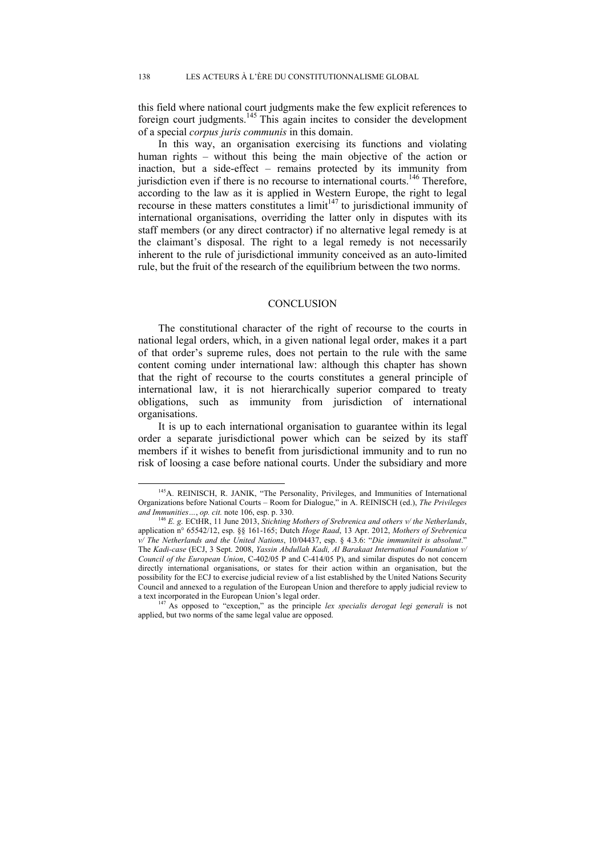this field where national court judgments make the few explicit references to foreign court judgments.145 This again incites to consider the development of a special *corpus juris communis* in this domain.

In this way, an organisation exercising its functions and violating human rights – without this being the main objective of the action or inaction, but a side-effect – remains protected by its immunity from jurisdiction even if there is no recourse to international courts.<sup>146</sup> Therefore, according to the law as it is applied in Western Europe, the right to legal recourse in these matters constitutes a  $\lim_{t \to 1} t^{147}$  to jurisdictional immunity of international organisations, overriding the latter only in disputes with its staff members (or any direct contractor) if no alternative legal remedy is at the claimant's disposal. The right to a legal remedy is not necessarily inherent to the rule of jurisdictional immunity conceived as an auto-limited rule, but the fruit of the research of the equilibrium between the two norms.

#### **CONCLUSION**

The constitutional character of the right of recourse to the courts in national legal orders, which, in a given national legal order, makes it a part of that order's supreme rules, does not pertain to the rule with the same content coming under international law: although this chapter has shown that the right of recourse to the courts constitutes a general principle of international law, it is not hierarchically superior compared to treaty obligations, such as immunity from jurisdiction of international organisations.

It is up to each international organisation to guarantee within its legal order a separate jurisdictional power which can be seized by its staff members if it wishes to benefit from jurisdictional immunity and to run no risk of loosing a case before national courts. Under the subsidiary and more

<sup>&</sup>lt;sup>145</sup>A. REINISCH, R. JANIK, "The Personality, Privileges, and Immunities of International Organizations before National Courts – Room for Dialogue," in A. REINISCH (ed.), *The Privileges* 

<sup>&</sup>lt;sup>146</sup> E. g. ECtHR, 11 June 2013, *Stichting Mothers of Srebrenica and others v/ the Netherlands*, application n° 65542/12, esp. §§ 161-165; Dutch *Hoge Raad*, 13 Apr. 2012, *Mothers of Srebrenica v/ The Netherlands and the United Nations*, 10/04437, esp. § 4.3.6: "*Die immuniteit is absoluut*." The *Kadi-case* (ECJ, 3 Sept. 2008, *Yassin Abdullah Kadi, Al Barakaat International Foundation v/ Council of the European Union*, C-402/05 P and C-414/05 P), and similar disputes do not concern directly international organisations, or states for their action within an organisation, but the possibility for the ECJ to exercise judicial review of a list established by the United Nations Security Council and annexed to a regulation of the European Union and therefore to apply judicial review to

a text incorporated in the European Union's legal order. 147 As opposed to "exception," as the principle *lex specialis derogat legi generali* is not applied, but two norms of the same legal value are opposed.